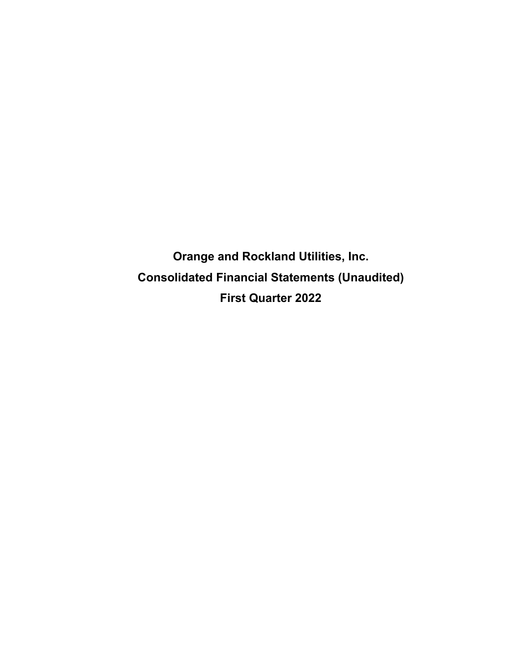**Orange and Rockland Utilities, Inc. Consolidated Financial Statements (Unaudited) First Quarter 2022**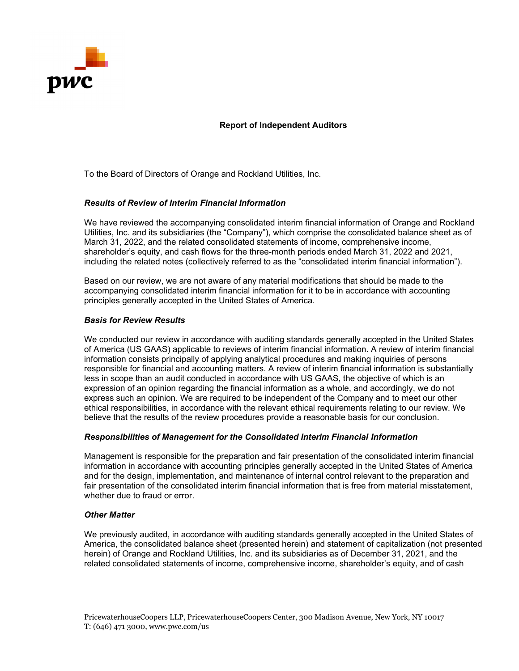

**Report of Independent Auditors** 

To the Board of Directors of Orange and Rockland Utilities, Inc.

#### *Results of Review of Interim Financial Information*

We have reviewed the accompanying consolidated interim financial information of Orange and Rockland Utilities, Inc. and its subsidiaries (the "Company"), which comprise the consolidated balance sheet as of March 31, 2022, and the related consolidated statements of income, comprehensive income, shareholder's equity, and cash flows for the three-month periods ended March 31, 2022 and 2021, including the related notes (collectively referred to as the "consolidated interim financial information").

Based on our review, we are not aware of any material modifications that should be made to the accompanying consolidated interim financial information for it to be in accordance with accounting principles generally accepted in the United States of America.

#### *Basis for Review Results*

We conducted our review in accordance with auditing standards generally accepted in the United States of America (US GAAS) applicable to reviews of interim financial information. A review of interim financial information consists principally of applying analytical procedures and making inquiries of persons responsible for financial and accounting matters. A review of interim financial information is substantially less in scope than an audit conducted in accordance with US GAAS, the objective of which is an expression of an opinion regarding the financial information as a whole, and accordingly, we do not express such an opinion. We are required to be independent of the Company and to meet our other ethical responsibilities, in accordance with the relevant ethical requirements relating to our review. We believe that the results of the review procedures provide a reasonable basis for our conclusion.

#### *Responsibilities of Management for the Consolidated Interim Financial Information*

Management is responsible for the preparation and fair presentation of the consolidated interim financial information in accordance with accounting principles generally accepted in the United States of America and for the design, implementation, and maintenance of internal control relevant to the preparation and fair presentation of the consolidated interim financial information that is free from material misstatement, whether due to fraud or error

#### *Other Matter*

We previously audited, in accordance with auditing standards generally accepted in the United States of America, the consolidated balance sheet (presented herein) and statement of capitalization (not presented herein) of Orange and Rockland Utilities, Inc. and its subsidiaries as of December 31, 2021, and the related consolidated statements of income, comprehensive income, shareholder's equity, and of cash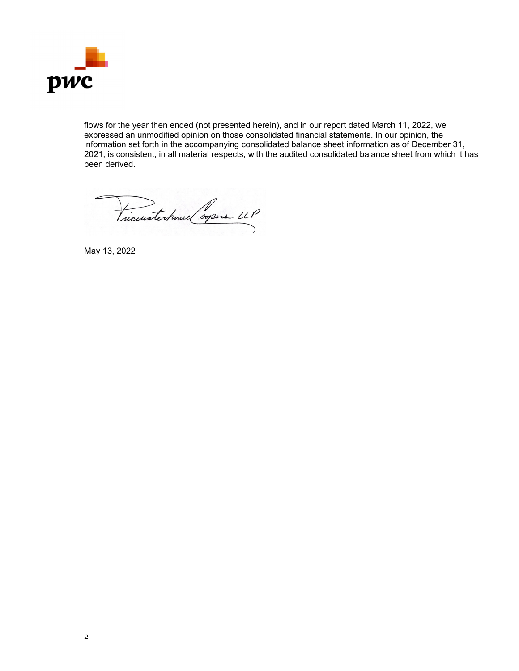

flows for the year then ended (not presented herein), and in our report dated March 11, 2022, we expressed an unmodified opinion on those consolidated financial statements. In our opinion, the information set forth in the accompanying consolidated balance sheet information as of December 31, 2021, is consistent, in all material respects, with the audited consolidated balance sheet from which it has been derived.

Vicinatechouse Corpers LLP

May 13, 2022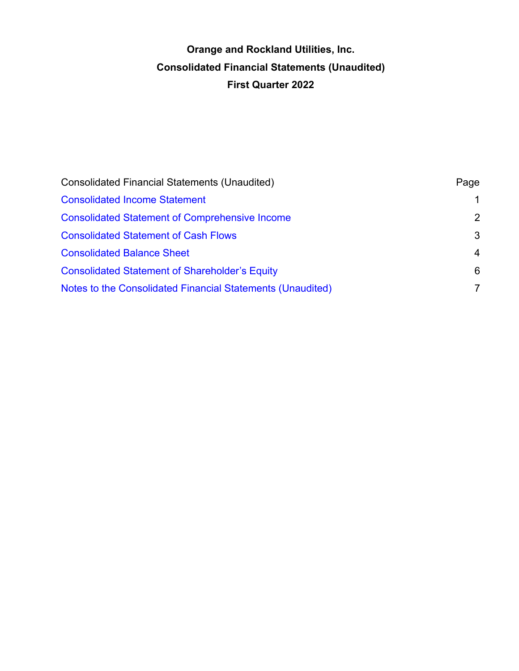# **Orange and Rockland Utilities, Inc. Consolidated Financial Statements (Unaudited) First Quarter 2022**

| <b>Consolidated Financial Statements (Unaudited)</b>       | Page           |
|------------------------------------------------------------|----------------|
| <b>Consolidated Income Statement</b>                       | $\mathbf 1$    |
| <b>Consolidated Statement of Comprehensive Income</b>      | 2              |
| <b>Consolidated Statement of Cash Flows</b>                | 3              |
| <b>Consolidated Balance Sheet</b>                          | $\overline{4}$ |
| <b>Consolidated Statement of Shareholder's Equity</b>      | 6              |
| Notes to the Consolidated Financial Statements (Unaudited) | 7              |
|                                                            |                |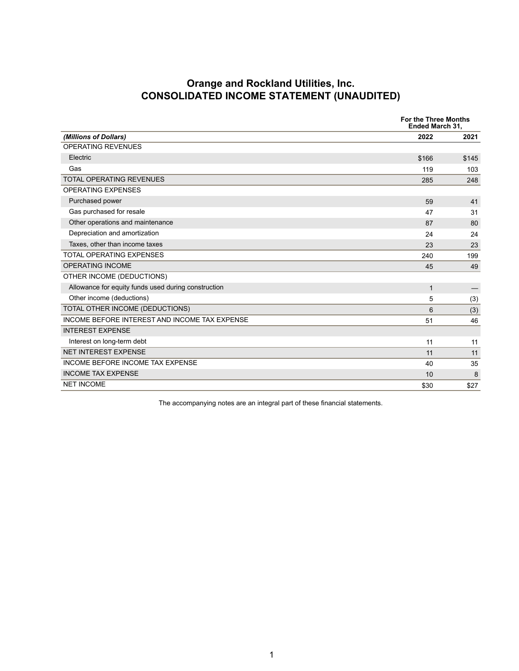### **Orange and Rockland Utilities, Inc. CONSOLIDATED INCOME STATEMENT (UNAUDITED)**

<span id="page-4-0"></span>

|                                                     | <b>For the Three Months</b><br>Ended March 31, |       |
|-----------------------------------------------------|------------------------------------------------|-------|
| (Millions of Dollars)                               | 2022                                           | 2021  |
| <b>OPERATING REVENUES</b>                           |                                                |       |
| Electric                                            | \$166                                          | \$145 |
| Gas                                                 | 119                                            | 103   |
| <b>TOTAL OPERATING REVENUES</b>                     | 285                                            | 248   |
| <b>OPERATING EXPENSES</b>                           |                                                |       |
| Purchased power                                     | 59                                             | 41    |
| Gas purchased for resale                            | 47                                             | 31    |
| Other operations and maintenance                    | 87                                             | 80    |
| Depreciation and amortization                       | 24                                             | 24    |
| Taxes, other than income taxes                      | 23                                             | 23    |
| <b>TOTAL OPERATING EXPENSES</b>                     | 240                                            | 199   |
| <b>OPERATING INCOME</b>                             | 45                                             | 49    |
| OTHER INCOME (DEDUCTIONS)                           |                                                |       |
| Allowance for equity funds used during construction | $\mathbf{1}$                                   |       |
| Other income (deductions)                           | 5                                              | (3)   |
| TOTAL OTHER INCOME (DEDUCTIONS)                     | 6                                              | (3)   |
| INCOME BEFORE INTEREST AND INCOME TAX EXPENSE       | 51                                             | 46    |
| <b>INTEREST EXPENSE</b>                             |                                                |       |
| Interest on long-term debt                          | 11                                             | 11    |
| <b>NET INTEREST EXPENSE</b>                         | 11                                             | 11    |
| INCOME BEFORE INCOME TAX EXPENSE                    | 40                                             | 35    |
| <b>INCOME TAX EXPENSE</b>                           | 10                                             | 8     |
| <b>NET INCOME</b>                                   | \$30                                           | \$27  |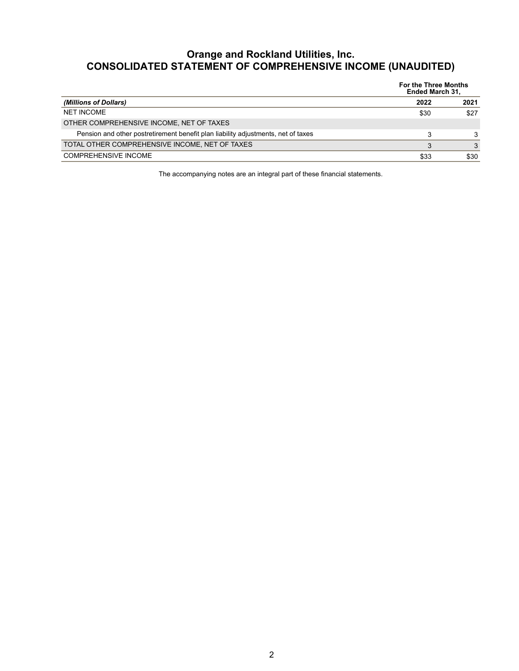## <span id="page-5-0"></span>**Orange and Rockland Utilities, Inc. CONSOLIDATED STATEMENT OF COMPREHENSIVE INCOME (UNAUDITED)**

|                                                                                   | <b>For the Three Months</b><br><b>Ended March 31,</b> |      |
|-----------------------------------------------------------------------------------|-------------------------------------------------------|------|
| (Millions of Dollars)                                                             | 2022                                                  | 2021 |
| <b>NET INCOME</b>                                                                 | \$30                                                  | \$27 |
| OTHER COMPREHENSIVE INCOME, NET OF TAXES                                          |                                                       |      |
| Pension and other postretirement benefit plan liability adjustments, net of taxes | 3                                                     | 3    |
| TOTAL OTHER COMPREHENSIVE INCOME, NET OF TAXES                                    | 3                                                     | 3    |
| <b>COMPREHENSIVE INCOME</b>                                                       | \$33                                                  | \$30 |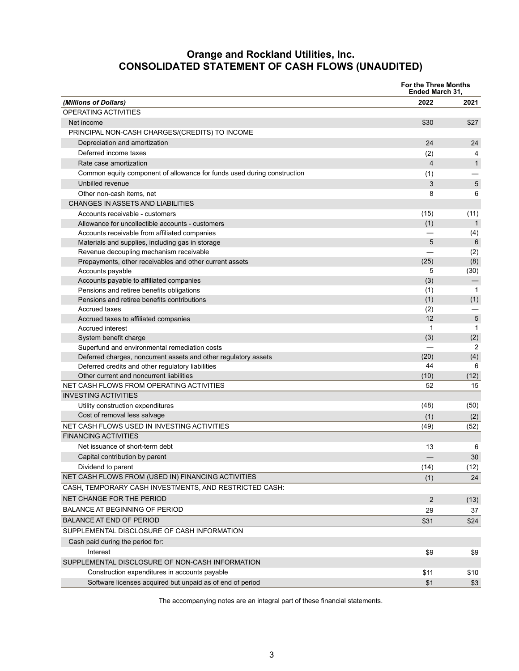### **Orange and Rockland Utilities, Inc. CONSOLIDATED STATEMENT OF CASH FLOWS (UNAUDITED)**

<span id="page-6-0"></span>

|                                                                         | For the Three Months<br><b>Ended March 31,</b> |              |
|-------------------------------------------------------------------------|------------------------------------------------|--------------|
| (Millions of Dollars)                                                   | 2022                                           | 2021         |
| OPERATING ACTIVITIES                                                    |                                                |              |
| Net income                                                              | \$30                                           | \$27         |
| PRINCIPAL NON-CASH CHARGES/(CREDITS) TO INCOME                          |                                                |              |
| Depreciation and amortization                                           | 24                                             | 24           |
| Deferred income taxes                                                   | (2)                                            | 4            |
| Rate case amortization                                                  | $\overline{4}$                                 | $\mathbf{1}$ |
| Common equity component of allowance for funds used during construction | (1)                                            |              |
| Unbilled revenue                                                        | 3                                              | 5            |
| Other non-cash items, net                                               | 8                                              | 6            |
| CHANGES IN ASSETS AND LIABILITIES                                       |                                                |              |
| Accounts receivable - customers                                         | (15)                                           | (11)         |
| Allowance for uncollectible accounts - customers                        | (1)                                            | $\mathbf{1}$ |
| Accounts receivable from affiliated companies                           |                                                | (4)          |
| Materials and supplies, including gas in storage                        | 5                                              | 6            |
| Revenue decoupling mechanism receivable                                 |                                                | (2)          |
| Prepayments, other receivables and other current assets                 | (25)                                           | (8)          |
| Accounts payable                                                        | 5                                              | (30)         |
| Accounts payable to affiliated companies                                | (3)                                            |              |
| Pensions and retiree benefits obligations                               | (1)                                            | $\mathbf 1$  |
| Pensions and retiree benefits contributions                             | (1)                                            | (1)          |
| <b>Accrued taxes</b>                                                    | (2)                                            |              |
| Accrued taxes to affiliated companies                                   | 12                                             | 5            |
| Accrued interest                                                        | 1                                              | 1            |
| System benefit charge                                                   | (3)                                            | (2)          |
| Superfund and environmental remediation costs                           |                                                | 2            |
| Deferred charges, noncurrent assets and other regulatory assets         | (20)                                           | (4)          |
| Deferred credits and other regulatory liabilities                       | 44                                             | 6            |
| Other current and noncurrent liabilities                                | (10)                                           | (12)         |
| NET CASH FLOWS FROM OPERATING ACTIVITIES                                | 52                                             | 15           |
| <b>INVESTING ACTIVITIES</b>                                             |                                                |              |
| Utility construction expenditures                                       | (48)                                           | (50)         |
| Cost of removal less salvage                                            | (1)                                            | (2)          |
| NET CASH FLOWS USED IN INVESTING ACTIVITIES                             | (49)                                           | (52)         |
| <b>FINANCING ACTIVITIES</b>                                             |                                                |              |
| Net issuance of short-term debt                                         | 13                                             | 6            |
| Capital contribution by parent                                          |                                                | 30           |
| Dividend to parent                                                      | (14)                                           | (12)         |
| NET CASH FLOWS FROM (USED IN) FINANCING ACTIVITIES                      | (1)                                            | 24           |
| CASH, TEMPORARY CASH INVESTMENTS, AND RESTRICTED CASH:                  |                                                |              |
| <b>NET CHANGE FOR THE PERIOD</b>                                        | 2                                              |              |
| <b>BALANCE AT BEGINNING OF PERIOD</b>                                   |                                                | (13)         |
|                                                                         | 29                                             | 37           |
| <b>BALANCE AT END OF PERIOD</b>                                         | \$31                                           | \$24         |
| SUPPLEMENTAL DISCLOSURE OF CASH INFORMATION                             |                                                |              |
| Cash paid during the period for:                                        |                                                |              |
| Interest                                                                | \$9                                            | \$9          |
| SUPPLEMENTAL DISCLOSURE OF NON-CASH INFORMATION                         |                                                |              |
| Construction expenditures in accounts payable                           | \$11                                           | \$10         |
| Software licenses acquired but unpaid as of end of period               | \$1                                            | \$3          |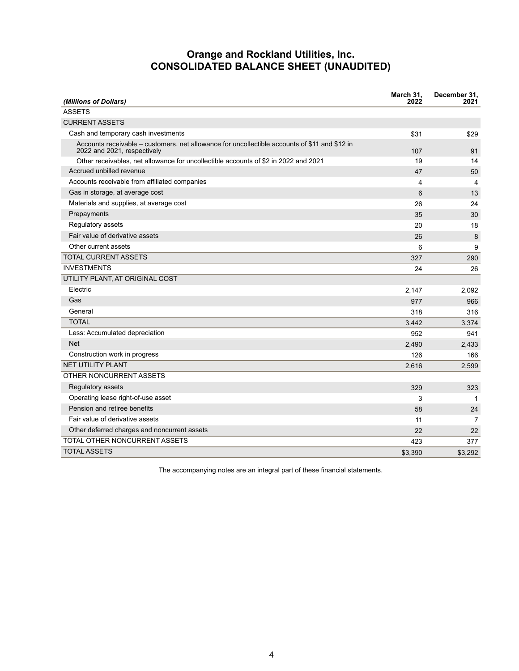### **Orange and Rockland Utilities, Inc. CONSOLIDATED BALANCE SHEET (UNAUDITED)**

<span id="page-7-0"></span>

| (Millions of Dollars)                                                                                                        | March 31,<br>2022 | December 31.<br>2021 |
|------------------------------------------------------------------------------------------------------------------------------|-------------------|----------------------|
| <b>ASSETS</b>                                                                                                                |                   |                      |
| <b>CURRENT ASSETS</b>                                                                                                        |                   |                      |
| Cash and temporary cash investments                                                                                          | \$31              | \$29                 |
| Accounts receivable – customers, net allowance for uncollectible accounts of \$11 and \$12 in<br>2022 and 2021, respectively | 107               | 91                   |
| Other receivables, net allowance for uncollectible accounts of \$2 in 2022 and 2021                                          | 19                | 14                   |
| Accrued unbilled revenue                                                                                                     | 47                | 50                   |
| Accounts receivable from affiliated companies                                                                                | 4                 | $\overline{4}$       |
| Gas in storage, at average cost                                                                                              | 6                 | 13                   |
| Materials and supplies, at average cost                                                                                      | 26                | 24                   |
| Prepayments                                                                                                                  | 35                | 30                   |
| Regulatory assets                                                                                                            | 20                | 18                   |
| Fair value of derivative assets                                                                                              | 26                | 8                    |
| Other current assets                                                                                                         | 6                 | 9                    |
| <b>TOTAL CURRENT ASSETS</b>                                                                                                  | 327               | 290                  |
| <b>INVESTMENTS</b>                                                                                                           | 24                | 26                   |
| UTILITY PLANT, AT ORIGINAL COST                                                                                              |                   |                      |
| Electric                                                                                                                     | 2,147             | 2,092                |
| Gas                                                                                                                          | 977               | 966                  |
| General                                                                                                                      | 318               | 316                  |
| <b>TOTAL</b>                                                                                                                 | 3,442             | 3,374                |
| Less: Accumulated depreciation                                                                                               | 952               | 941                  |
| <b>Net</b>                                                                                                                   | 2,490             | 2,433                |
| Construction work in progress                                                                                                | 126               | 166                  |
| <b>NET UTILITY PLANT</b>                                                                                                     | 2,616             | 2,599                |
| OTHER NONCURRENT ASSETS                                                                                                      |                   |                      |
| Regulatory assets                                                                                                            | 329               | 323                  |
| Operating lease right-of-use asset                                                                                           | 3                 | 1                    |
| Pension and retiree benefits                                                                                                 | 58                | 24                   |
| Fair value of derivative assets                                                                                              | 11                | $\overline{7}$       |
| Other deferred charges and noncurrent assets                                                                                 | 22                | 22                   |
| TOTAL OTHER NONCURRENT ASSETS                                                                                                | 423               | 377                  |
| <b>TOTAL ASSETS</b>                                                                                                          | \$3,390           | \$3,292              |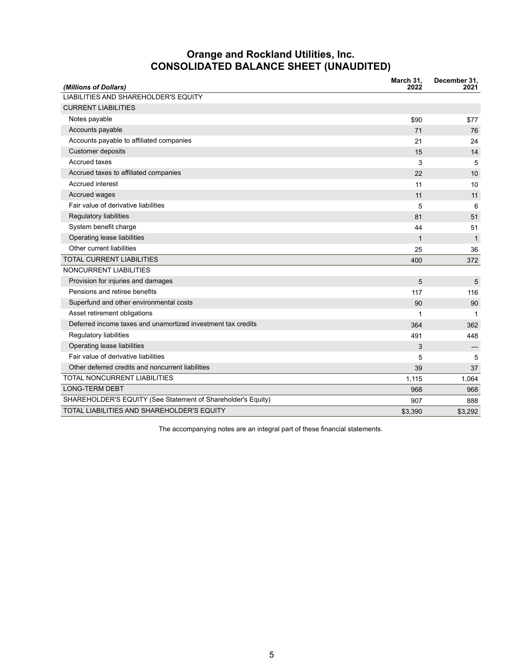## **Orange and Rockland Utilities, Inc. CONSOLIDATED BALANCE SHEET (UNAUDITED)**

| (Millions of Dollars)                                        | March 31,<br>2022 | December 31,<br>2021 |
|--------------------------------------------------------------|-------------------|----------------------|
| LIABILITIES AND SHAREHOLDER'S EQUITY                         |                   |                      |
| <b>CURRENT LIABILITIES</b>                                   |                   |                      |
| Notes payable                                                | \$90              | \$77                 |
| Accounts payable                                             | 71                | 76                   |
| Accounts payable to affiliated companies                     | 21                | 24                   |
| <b>Customer deposits</b>                                     | 15                | 14                   |
| <b>Accrued taxes</b>                                         | 3                 | 5                    |
| Accrued taxes to affiliated companies                        | 22                | 10                   |
| Accrued interest                                             | 11                | 10                   |
| Accrued wages                                                | 11                | 11                   |
| Fair value of derivative liabilities                         | 5                 | 6                    |
| Regulatory liabilities                                       | 81                | 51                   |
| System benefit charge                                        | 44                | 51                   |
| Operating lease liabilities                                  | $\mathbf{1}$      | $\mathbf{1}$         |
| Other current liabilities                                    | 25                | 36                   |
| <b>TOTAL CURRENT LIABILITIES</b>                             | 400               | 372                  |
| NONCURRENT LIABILITIES                                       |                   |                      |
| Provision for injuries and damages                           | 5                 | 5                    |
| Pensions and retiree benefits                                | 117               | 116                  |
| Superfund and other environmental costs                      | 90                | 90                   |
| Asset retirement obligations                                 | 1                 | 1                    |
| Deferred income taxes and unamortized investment tax credits | 364               | 362                  |
| <b>Regulatory liabilities</b>                                | 491               | 448                  |
| Operating lease liabilities                                  | 3                 |                      |
| Fair value of derivative liabilities                         | 5                 | 5                    |
| Other deferred credits and noncurrent liabilities            | 39                | 37                   |
| <b>TOTAL NONCURRENT LIABILITIES</b>                          | 1,115             | 1,064                |
| <b>LONG-TERM DEBT</b>                                        | 968               | 968                  |
| SHAREHOLDER'S EQUITY (See Statement of Shareholder's Equity) | 907               | 888                  |
| TOTAL LIABILITIES AND SHAREHOLDER'S EQUITY                   | \$3,390           | \$3,292              |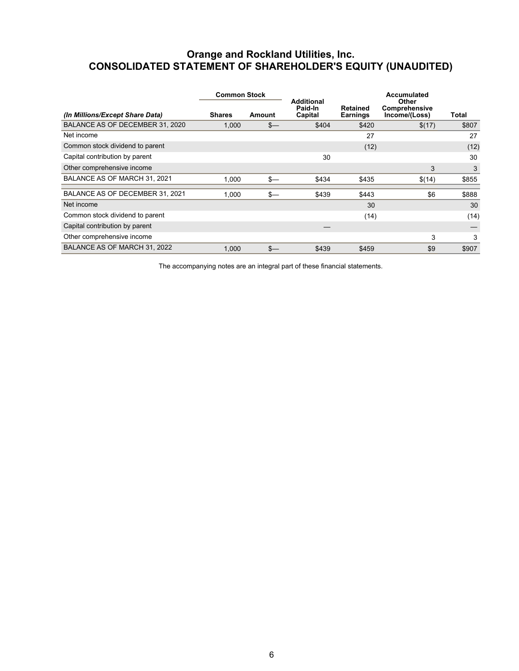## <span id="page-9-0"></span>**Orange and Rockland Utilities, Inc. CONSOLIDATED STATEMENT OF SHAREHOLDER'S EQUITY (UNAUDITED)**

|                                 | <b>Common Stock</b> |        |                                         |                             |                                                |       | Accumulated |  |
|---------------------------------|---------------------|--------|-----------------------------------------|-----------------------------|------------------------------------------------|-------|-------------|--|
| (In Millions/Except Share Data) | <b>Shares</b>       | Amount | <b>Additional</b><br>Paid-In<br>Capital | Retained<br><b>Earnings</b> | <b>Other</b><br>Comprehensive<br>Income/(Loss) | Total |             |  |
| BALANCE AS OF DECEMBER 31, 2020 | 1.000               | $s-$   | \$404                                   | \$420                       | \$(17)                                         | \$807 |             |  |
| Net income                      |                     |        |                                         | 27                          |                                                | 27    |             |  |
| Common stock dividend to parent |                     |        |                                         | (12)                        |                                                | (12)  |             |  |
| Capital contribution by parent  |                     |        | 30                                      |                             |                                                | 30    |             |  |
| Other comprehensive income      |                     |        |                                         |                             | 3                                              | 3     |             |  |
| BALANCE AS OF MARCH 31, 2021    | 1.000               | $s-$   | \$434                                   | \$435                       | \$(14)                                         | \$855 |             |  |
| BALANCE AS OF DECEMBER 31, 2021 | 1.000               | $s-$   | \$439                                   | \$443                       | \$6                                            | \$888 |             |  |
| Net income                      |                     |        |                                         | 30                          |                                                | 30    |             |  |
| Common stock dividend to parent |                     |        |                                         | (14)                        |                                                | (14)  |             |  |
| Capital contribution by parent  |                     |        |                                         |                             |                                                |       |             |  |
| Other comprehensive income      |                     |        |                                         |                             | 3                                              | 3     |             |  |
| BALANCE AS OF MARCH 31, 2022    | 1,000               | $s-$   | \$439                                   | \$459                       | \$9                                            | \$907 |             |  |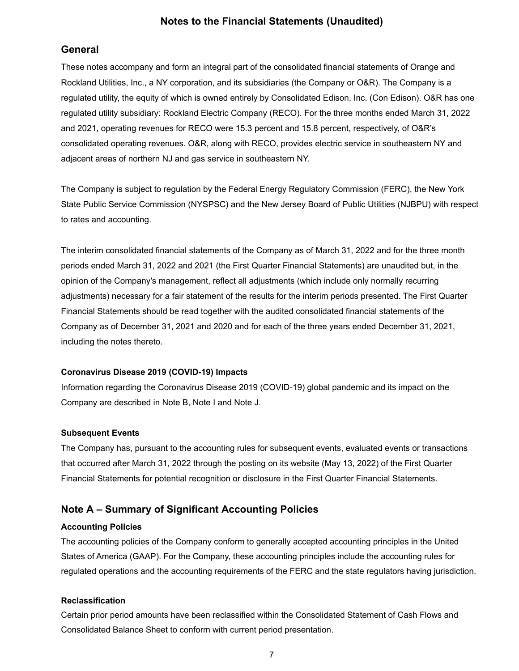### **Notes to the Financial Statements (Unaudited)**

### <span id="page-10-0"></span>**General**

These notes accompany and form an integral part of the consolidated financial statements of Orange and Rockland Utilities, Inc., a NY corporation, and its subsidiaries (the Company or O&R). The Company is a regulated utility, the equity of which is owned entirely by Consolidated Edison, Inc. (Con Edison). O&R has one regulated utility subsidiary: Rockland Electric Company (RECO). For the three months ended March 31, 2022 and 2021, operating revenues for RECO were 15.3 percent and 15.8 percent, respectively, of O&R's consolidated operating revenues. O&R, along with RECO, provides electric service in southeastern NY and adjacent areas of northern NJ and gas service in southeastern NY.

The Company is subject to regulation by the Federal Energy Regulatory Commission (FERC), the New York State Public Service Commission (NYSPSC) and the New Jersey Board of Public Utilities (NJBPU) with respect to rates and accounting.

The interim consolidated financial statements of the Company as of March 31, 2022 and for the three month periods ended March 31, 2022 and 2021 (the First Quarter Financial Statements) are unaudited but, in the opinion of the Company's management, reflect all adjustments (which include only normally recurring adjustments) necessary for a fair statement of the results for the interim periods presented. The First Quarter Financial Statements should be read together with the audited consolidated financial statements of the Company as of December 31, 2021 and 2020 and for each of the three years ended December 31, 2021, including the notes thereto.

#### **Coronavirus Disease 2019 (COVID-19) Impacts**

Information regarding the Coronavirus Disease 2019 (COVID-19) global pandemic and its impact on the Company are described in Note B, Note I and Note J.

#### **Subsequent Events**

The Company has, pursuant to the accounting rules for subsequent events, evaluated events or transactions that occurred after March 31, 2022 through the posting on its website (May 13, 2022) of the First Quarter Financial Statements for potential recognition or disclosure in the First Quarter Financial Statements.

### **Note A – Summary of Significant Accounting Policies**

#### **Accounting Policies**

The accounting policies of the Company conform to generally accepted accounting principles in the United States of America (GAAP). For the Company, these accounting principles include the accounting rules for regulated operations and the accounting requirements of the FERC and the state regulators having jurisdiction.

#### **Reclassification**

Certain prior period amounts have been reclassified within the Consolidated Statement of Cash Flows and Consolidated Balance Sheet to conform with current period presentation.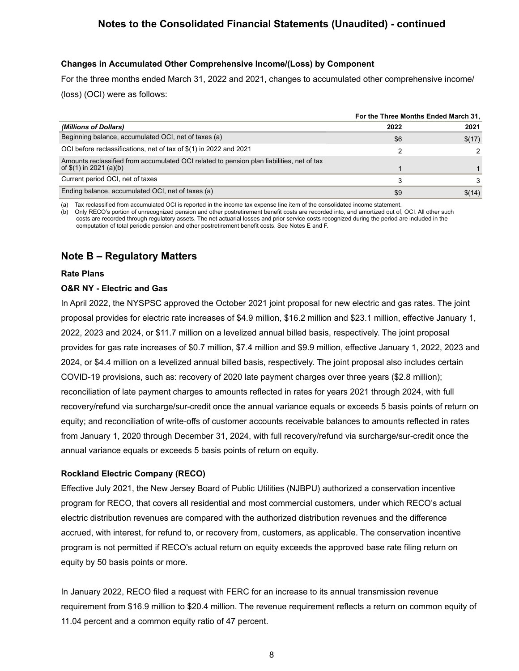### **Changes in Accumulated Other Comprehensive Income/(Loss) by Component**

For the three months ended March 31, 2022 and 2021, changes to accumulated other comprehensive income/ (loss) (OCI) were as follows:

|                                                                                                                       | For the Three Months Ended March 31, |        |  |
|-----------------------------------------------------------------------------------------------------------------------|--------------------------------------|--------|--|
| (Millions of Dollars)                                                                                                 | 2022                                 | 2021   |  |
| Beginning balance, accumulated OCI, net of taxes (a)                                                                  | \$6                                  | \$(17) |  |
| OCI before reclassifications, net of tax of \$(1) in 2022 and 2021                                                    | 2                                    |        |  |
| Amounts reclassified from accumulated OCI related to pension plan liabilities, net of tax<br>of $$(1)$ in 2021 (a)(b) |                                      |        |  |
| Current period OCI, net of taxes                                                                                      | 3                                    | 3      |  |
| Ending balance, accumulated OCI, net of taxes (a)                                                                     | \$9                                  | \$(14) |  |

(a) Tax reclassified from accumulated OCI is reported in the income tax expense line item of the consolidated income statement.

(b) Only RECO's portion of unrecognized pension and other postretirement benefit costs are recorded into, and amortized out of, OCI. All other such costs are recorded through regulatory assets. The net actuarial losses and prior service costs recognized during the period are included in the computation of total periodic pension and other postretirement benefit costs. See Notes E and F.

## **Note B – Regulatory Matters**

#### **Rate Plans**

#### **O&R NY - Electric and Gas**

In April 2022, the NYSPSC approved the October 2021 joint proposal for new electric and gas rates. The joint proposal provides for electric rate increases of \$4.9 million, \$16.2 million and \$23.1 million, effective January 1, 2022, 2023 and 2024, or \$11.7 million on a levelized annual billed basis, respectively. The joint proposal provides for gas rate increases of \$0.7 million, \$7.4 million and \$9.9 million, effective January 1, 2022, 2023 and 2024, or \$4.4 million on a levelized annual billed basis, respectively. The joint proposal also includes certain COVID-19 provisions, such as: recovery of 2020 late payment charges over three years (\$2.8 million); reconciliation of late payment charges to amounts reflected in rates for years 2021 through 2024, with full recovery/refund via surcharge/sur-credit once the annual variance equals or exceeds 5 basis points of return on equity; and reconciliation of write-offs of customer accounts receivable balances to amounts reflected in rates from January 1, 2020 through December 31, 2024, with full recovery/refund via surcharge/sur-credit once the annual variance equals or exceeds 5 basis points of return on equity.

### **Rockland Electric Company (RECO)**

Effective July 2021, the New Jersey Board of Public Utilities (NJBPU) authorized a conservation incentive program for RECO, that covers all residential and most commercial customers, under which RECO's actual electric distribution revenues are compared with the authorized distribution revenues and the difference accrued, with interest, for refund to, or recovery from, customers, as applicable. The conservation incentive program is not permitted if RECO's actual return on equity exceeds the approved base rate filing return on equity by 50 basis points or more.

In January 2022, RECO filed a request with FERC for an increase to its annual transmission revenue requirement from \$16.9 million to \$20.4 million. The revenue requirement reflects a return on common equity of 11.04 percent and a common equity ratio of 47 percent.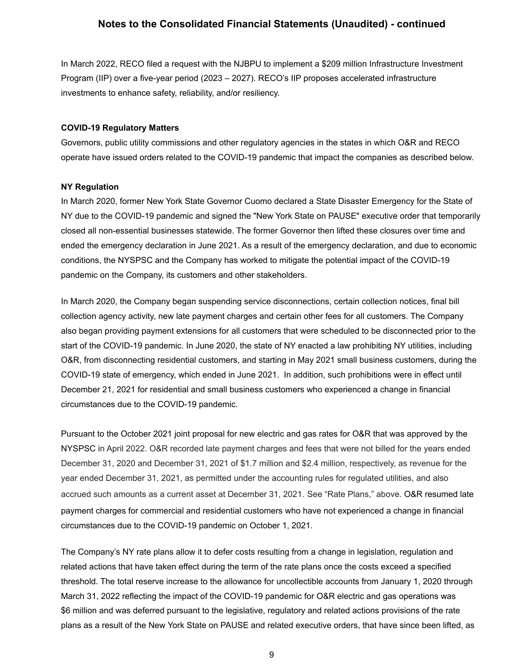In March 2022, RECO filed a request with the NJBPU to implement a \$209 million Infrastructure Investment Program (IIP) over a five-year period (2023 – 2027). RECO's IIP proposes accelerated infrastructure investments to enhance safety, reliability, and/or resiliency.

#### **COVID-19 Regulatory Matters**

Governors, public utility commissions and other regulatory agencies in the states in which O&R and RECO operate have issued orders related to the COVID-19 pandemic that impact the companies as described below.

#### **NY Regulation**

In March 2020, former New York State Governor Cuomo declared a State Disaster Emergency for the State of NY due to the COVID-19 pandemic and signed the "New York State on PAUSE" executive order that temporarily closed all non-essential businesses statewide. The former Governor then lifted these closures over time and ended the emergency declaration in June 2021. As a result of the emergency declaration, and due to economic conditions, the NYSPSC and the Company has worked to mitigate the potential impact of the COVID-19 pandemic on the Company, its customers and other stakeholders.

In March 2020, the Company began suspending service disconnections, certain collection notices, final bill collection agency activity, new late payment charges and certain other fees for all customers. The Company also began providing payment extensions for all customers that were scheduled to be disconnected prior to the start of the COVID-19 pandemic. In June 2020, the state of NY enacted a law prohibiting NY utilities, including O&R, from disconnecting residential customers, and starting in May 2021 small business customers, during the COVID-19 state of emergency, which ended in June 2021. In addition, such prohibitions were in effect until December 21, 2021 for residential and small business customers who experienced a change in financial circumstances due to the COVID-19 pandemic.

Pursuant to the October 2021 joint proposal for new electric and gas rates for O&R that was approved by the NYSPSC in April 2022. O&R recorded late payment charges and fees that were not billed for the years ended December 31, 2020 and December 31, 2021 of \$1.7 million and \$2.4 million, respectively, as revenue for the year ended December 31, 2021, as permitted under the accounting rules for regulated utilities, and also accrued such amounts as a current asset at December 31, 2021. See "Rate Plans," above. O&R resumed late payment charges for commercial and residential customers who have not experienced a change in financial circumstances due to the COVID-19 pandemic on October 1, 2021.

The Company's NY rate plans allow it to defer costs resulting from a change in legislation, regulation and related actions that have taken effect during the term of the rate plans once the costs exceed a specified threshold. The total reserve increase to the allowance for uncollectible accounts from January 1, 2020 through March 31, 2022 reflecting the impact of the COVID-19 pandemic for O&R electric and gas operations was \$6 million and was deferred pursuant to the legislative, regulatory and related actions provisions of the rate plans as a result of the New York State on PAUSE and related executive orders, that have since been lifted, as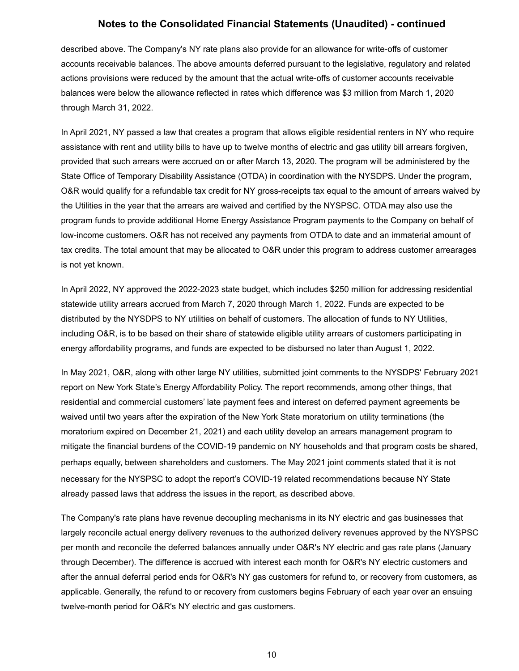described above. The Company's NY rate plans also provide for an allowance for write-offs of customer accounts receivable balances. The above amounts deferred pursuant to the legislative, regulatory and related actions provisions were reduced by the amount that the actual write-offs of customer accounts receivable balances were below the allowance reflected in rates which difference was \$3 million from March 1, 2020 through March 31, 2022.

In April 2021, NY passed a law that creates a program that allows eligible residential renters in NY who require assistance with rent and utility bills to have up to twelve months of electric and gas utility bill arrears forgiven, provided that such arrears were accrued on or after March 13, 2020. The program will be administered by the State Office of Temporary Disability Assistance (OTDA) in coordination with the NYSDPS. Under the program, O&R would qualify for a refundable tax credit for NY gross-receipts tax equal to the amount of arrears waived by the Utilities in the year that the arrears are waived and certified by the NYSPSC. OTDA may also use the program funds to provide additional Home Energy Assistance Program payments to the Company on behalf of low-income customers. O&R has not received any payments from OTDA to date and an immaterial amount of tax credits. The total amount that may be allocated to O&R under this program to address customer arrearages is not yet known.

In April 2022, NY approved the 2022-2023 state budget, which includes \$250 million for addressing residential statewide utility arrears accrued from March 7, 2020 through March 1, 2022. Funds are expected to be distributed by the NYSDPS to NY utilities on behalf of customers. The allocation of funds to NY Utilities, including O&R, is to be based on their share of statewide eligible utility arrears of customers participating in energy affordability programs, and funds are expected to be disbursed no later than August 1, 2022.

In May 2021, O&R, along with other large NY utilities, submitted joint comments to the NYSDPS' February 2021 report on New York State's Energy Affordability Policy. The report recommends, among other things, that residential and commercial customers' late payment fees and interest on deferred payment agreements be waived until two years after the expiration of the New York State moratorium on utility terminations (the moratorium expired on December 21, 2021) and each utility develop an arrears management program to mitigate the financial burdens of the COVID-19 pandemic on NY households and that program costs be shared, perhaps equally, between shareholders and customers. The May 2021 joint comments stated that it is not necessary for the NYSPSC to adopt the report's COVID-19 related recommendations because NY State already passed laws that address the issues in the report, as described above.

The Company's rate plans have revenue decoupling mechanisms in its NY electric and gas businesses that largely reconcile actual energy delivery revenues to the authorized delivery revenues approved by the NYSPSC per month and reconcile the deferred balances annually under O&R's NY electric and gas rate plans (January through December). The difference is accrued with interest each month for O&R's NY electric customers and after the annual deferral period ends for O&R's NY gas customers for refund to, or recovery from customers, as applicable. Generally, the refund to or recovery from customers begins February of each year over an ensuing twelve-month period for O&R's NY electric and gas customers.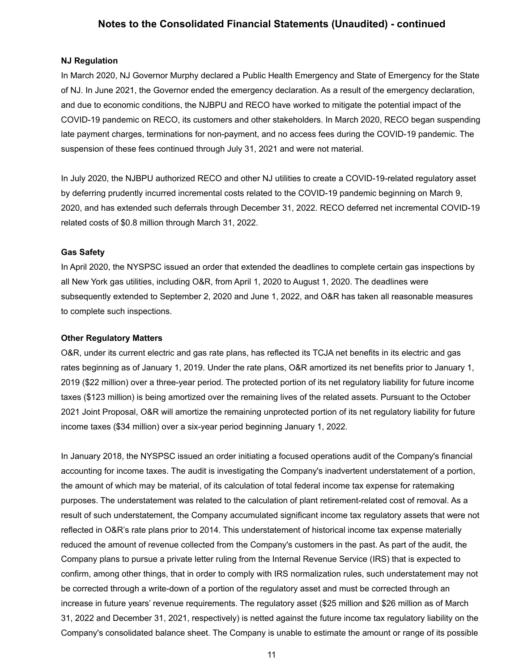#### **NJ Regulation**

In March 2020, NJ Governor Murphy declared a Public Health Emergency and State of Emergency for the State of NJ. In June 2021, the Governor ended the emergency declaration. As a result of the emergency declaration, and due to economic conditions, the NJBPU and RECO have worked to mitigate the potential impact of the COVID-19 pandemic on RECO, its customers and other stakeholders. In March 2020, RECO began suspending late payment charges, terminations for non-payment, and no access fees during the COVID-19 pandemic. The suspension of these fees continued through July 31, 2021 and were not material.

In July 2020, the NJBPU authorized RECO and other NJ utilities to create a COVID-19-related regulatory asset by deferring prudently incurred incremental costs related to the COVID-19 pandemic beginning on March 9, 2020, and has extended such deferrals through December 31, 2022. RECO deferred net incremental COVID-19 related costs of \$0.8 million through March 31, 2022.

#### **Gas Safety**

In April 2020, the NYSPSC issued an order that extended the deadlines to complete certain gas inspections by all New York gas utilities, including O&R, from April 1, 2020 to August 1, 2020. The deadlines were subsequently extended to September 2, 2020 and June 1, 2022, and O&R has taken all reasonable measures to complete such inspections.

#### **Other Regulatory Matters**

O&R, under its current electric and gas rate plans, has reflected its TCJA net benefits in its electric and gas rates beginning as of January 1, 2019. Under the rate plans, O&R amortized its net benefits prior to January 1, 2019 (\$22 million) over a three-year period. The protected portion of its net regulatory liability for future income taxes (\$123 million) is being amortized over the remaining lives of the related assets. Pursuant to the October 2021 Joint Proposal, O&R will amortize the remaining unprotected portion of its net regulatory liability for future income taxes (\$34 million) over a six-year period beginning January 1, 2022.

In January 2018, the NYSPSC issued an order initiating a focused operations audit of the Company's financial accounting for income taxes. The audit is investigating the Company's inadvertent understatement of a portion, the amount of which may be material, of its calculation of total federal income tax expense for ratemaking purposes. The understatement was related to the calculation of plant retirement-related cost of removal. As a result of such understatement, the Company accumulated significant income tax regulatory assets that were not reflected in O&R's rate plans prior to 2014. This understatement of historical income tax expense materially reduced the amount of revenue collected from the Company's customers in the past. As part of the audit, the Company plans to pursue a private letter ruling from the Internal Revenue Service (IRS) that is expected to confirm, among other things, that in order to comply with IRS normalization rules, such understatement may not be corrected through a write-down of a portion of the regulatory asset and must be corrected through an increase in future years' revenue requirements. The regulatory asset (\$25 million and \$26 million as of March 31, 2022 and December 31, 2021, respectively) is netted against the future income tax regulatory liability on the Company's consolidated balance sheet. The Company is unable to estimate the amount or range of its possible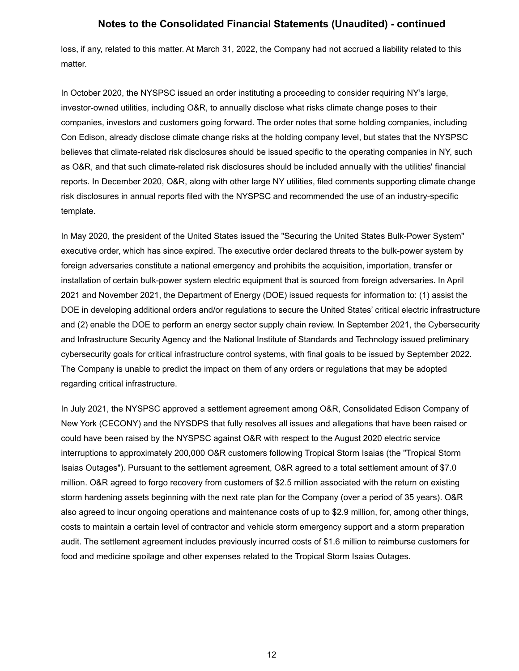loss, if any, related to this matter. At March 31, 2022, the Company had not accrued a liability related to this matter.

In October 2020, the NYSPSC issued an order instituting a proceeding to consider requiring NY's large, investor-owned utilities, including O&R, to annually disclose what risks climate change poses to their companies, investors and customers going forward. The order notes that some holding companies, including Con Edison, already disclose climate change risks at the holding company level, but states that the NYSPSC believes that climate-related risk disclosures should be issued specific to the operating companies in NY, such as O&R, and that such climate-related risk disclosures should be included annually with the utilities' financial reports. In December 2020, O&R, along with other large NY utilities, filed comments supporting climate change risk disclosures in annual reports filed with the NYSPSC and recommended the use of an industry-specific template.

In May 2020, the president of the United States issued the "Securing the United States Bulk-Power System" executive order, which has since expired. The executive order declared threats to the bulk-power system by foreign adversaries constitute a national emergency and prohibits the acquisition, importation, transfer or installation of certain bulk-power system electric equipment that is sourced from foreign adversaries. In April 2021 and November 2021, the Department of Energy (DOE) issued requests for information to: (1) assist the DOE in developing additional orders and/or regulations to secure the United States' critical electric infrastructure and (2) enable the DOE to perform an energy sector supply chain review. In September 2021, the Cybersecurity and Infrastructure Security Agency and the National Institute of Standards and Technology issued preliminary cybersecurity goals for critical infrastructure control systems, with final goals to be issued by September 2022. The Company is unable to predict the impact on them of any orders or regulations that may be adopted regarding critical infrastructure.

In July 2021, the NYSPSC approved a settlement agreement among O&R, Consolidated Edison Company of New York (CECONY) and the NYSDPS that fully resolves all issues and allegations that have been raised or could have been raised by the NYSPSC against O&R with respect to the August 2020 electric service interruptions to approximately 200,000 O&R customers following Tropical Storm Isaias (the "Tropical Storm Isaias Outages"). Pursuant to the settlement agreement, O&R agreed to a total settlement amount of \$7.0 million. O&R agreed to forgo recovery from customers of \$2.5 million associated with the return on existing storm hardening assets beginning with the next rate plan for the Company (over a period of 35 years). O&R also agreed to incur ongoing operations and maintenance costs of up to \$2.9 million, for, among other things, costs to maintain a certain level of contractor and vehicle storm emergency support and a storm preparation audit. The settlement agreement includes previously incurred costs of \$1.6 million to reimburse customers for food and medicine spoilage and other expenses related to the Tropical Storm Isaias Outages.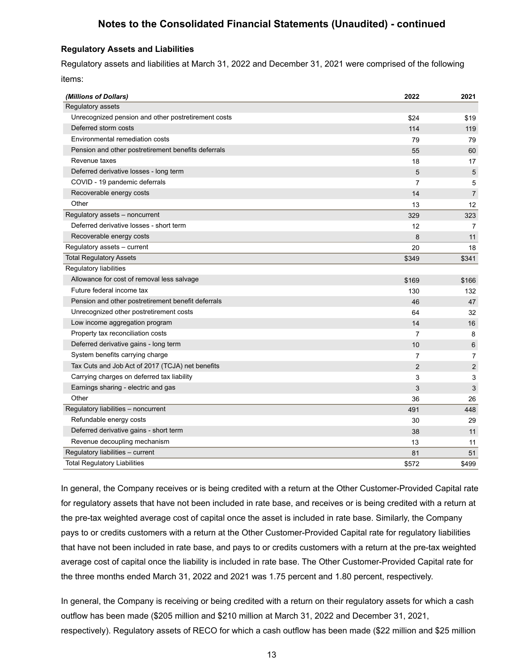#### **Regulatory Assets and Liabilities**

Regulatory assets and liabilities at March 31, 2022 and December 31, 2021 were comprised of the following items:

| (Millions of Dollars)                               | 2022           | 2021           |
|-----------------------------------------------------|----------------|----------------|
| Regulatory assets                                   |                |                |
| Unrecognized pension and other postretirement costs | \$24           | \$19           |
| Deferred storm costs                                | 114            | 119            |
| Environmental remediation costs                     | 79             | 79             |
| Pension and other postretirement benefits deferrals | 55             | 60             |
| Revenue taxes                                       | 18             | 17             |
| Deferred derivative losses - long term              | 5              | 5              |
| COVID - 19 pandemic deferrals                       | 7              | 5              |
| Recoverable energy costs                            | 14             | $\overline{7}$ |
| Other                                               | 13             | 12             |
| Regulatory assets - noncurrent                      | 329            | 323            |
| Deferred derivative losses - short term             | 12             | $\overline{7}$ |
| Recoverable energy costs                            | 8              | 11             |
| Regulatory assets - current                         | 20             | 18             |
| <b>Total Regulatory Assets</b>                      | \$349          | \$341          |
| Regulatory liabilities                              |                |                |
| Allowance for cost of removal less salvage          | \$169          | \$166          |
| Future federal income tax                           | 130            | 132            |
| Pension and other postretirement benefit deferrals  | 46             | 47             |
| Unrecognized other postretirement costs             | 64             | 32             |
| Low income aggregation program                      | 14             | 16             |
| Property tax reconciliation costs                   | 7              | 8              |
| Deferred derivative gains - long term               | 10             | 6              |
| System benefits carrying charge                     | $\overline{7}$ | $\overline{7}$ |
| Tax Cuts and Job Act of 2017 (TCJA) net benefits    | $\overline{2}$ | $\overline{2}$ |
| Carrying charges on deferred tax liability          | 3              | 3              |
| Earnings sharing - electric and gas                 | 3              | 3              |
| Other                                               | 36             | 26             |
| Regulatory liabilities - noncurrent                 | 491            | 448            |
| Refundable energy costs                             | 30             | 29             |
| Deferred derivative gains - short term              | 38             | 11             |
| Revenue decoupling mechanism                        | 13             | 11             |
| Regulatory liabilities - current                    | 81             | 51             |
| <b>Total Regulatory Liabilities</b>                 | \$572          | \$499          |

In general, the Company receives or is being credited with a return at the Other Customer-Provided Capital rate for regulatory assets that have not been included in rate base, and receives or is being credited with a return at the pre-tax weighted average cost of capital once the asset is included in rate base. Similarly, the Company pays to or credits customers with a return at the Other Customer-Provided Capital rate for regulatory liabilities that have not been included in rate base, and pays to or credits customers with a return at the pre-tax weighted average cost of capital once the liability is included in rate base. The Other Customer-Provided Capital rate for the three months ended March 31, 2022 and 2021 was 1.75 percent and 1.80 percent, respectively.

In general, the Company is receiving or being credited with a return on their regulatory assets for which a cash outflow has been made (\$205 million and \$210 million at March 31, 2022 and December 31, 2021, respectively). Regulatory assets of RECO for which a cash outflow has been made (\$22 million and \$25 million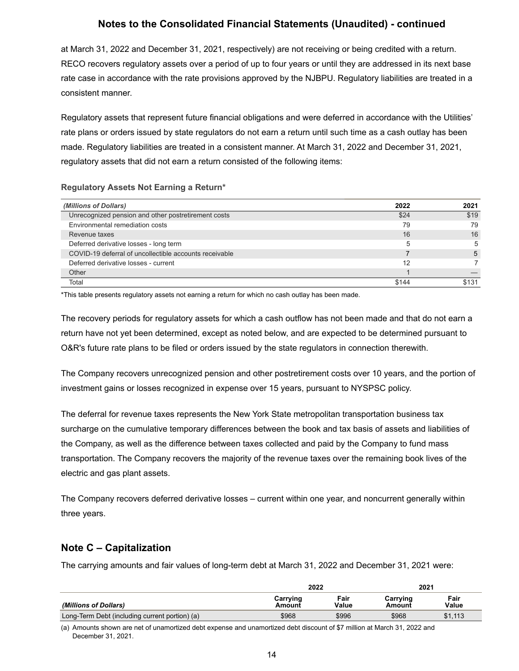at March 31, 2022 and December 31, 2021, respectively) are not receiving or being credited with a return. RECO recovers regulatory assets over a period of up to four years or until they are addressed in its next base rate case in accordance with the rate provisions approved by the NJBPU. Regulatory liabilities are treated in a consistent manner.

Regulatory assets that represent future financial obligations and were deferred in accordance with the Utilities' rate plans or orders issued by state regulators do not earn a return until such time as a cash outlay has been made. Regulatory liabilities are treated in a consistent manner. At March 31, 2022 and December 31, 2021, regulatory assets that did not earn a return consisted of the following items:

#### **Regulatory Assets Not Earning a Return\***

| (Millions of Dollars)                                  | 2022  | 2021  |
|--------------------------------------------------------|-------|-------|
| Unrecognized pension and other postretirement costs    | \$24  | \$19  |
| Environmental remediation costs                        | 79    | 79    |
| Revenue taxes                                          | 16    | 16    |
| Deferred derivative losses - long term                 | 5     | 5     |
| COVID-19 deferral of uncollectible accounts receivable |       | 5     |
| Deferred derivative losses - current                   | 12    |       |
| Other                                                  |       |       |
| Total                                                  | \$144 | \$131 |

\*This table presents regulatory assets not earning a return for which no cash outlay has been made.

The recovery periods for regulatory assets for which a cash outflow has not been made and that do not earn a return have not yet been determined, except as noted below, and are expected to be determined pursuant to O&R's future rate plans to be filed or orders issued by the state regulators in connection therewith.

The Company recovers unrecognized pension and other postretirement costs over 10 years, and the portion of investment gains or losses recognized in expense over 15 years, pursuant to NYSPSC policy.

The deferral for revenue taxes represents the New York State metropolitan transportation business tax surcharge on the cumulative temporary differences between the book and tax basis of assets and liabilities of the Company, as well as the difference between taxes collected and paid by the Company to fund mass transportation. The Company recovers the majority of the revenue taxes over the remaining book lives of the electric and gas plant assets.

The Company recovers deferred derivative losses – current within one year, and noncurrent generally within three years.

## **Note C – Capitalization**

The carrying amounts and fair values of long-term debt at March 31, 2022 and December 31, 2021 were:

|                                                | 2022               |               | 2021               |               |
|------------------------------------------------|--------------------|---------------|--------------------|---------------|
| <i>(Millions of Dollars)</i>                   | Carrying<br>Amount | Fair<br>Value | Carrying<br>Amount | Fair<br>Value |
| Long-Term Debt (including current portion) (a) | \$968              | \$996         | \$968              | \$1,113       |

(a) Amounts shown are net of unamortized debt expense and unamortized debt discount of \$7 million at March 31, 2022 and December 31, 2021.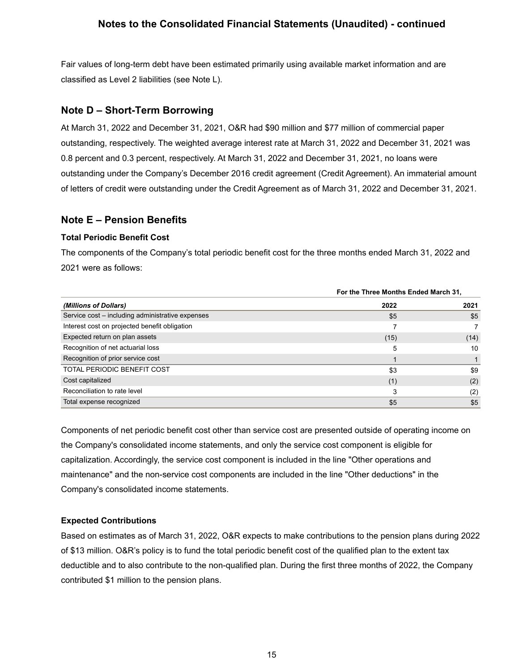Fair values of long-term debt have been estimated primarily using available market information and are classified as Level 2 liabilities (see Note L).

### **Note D – Short-Term Borrowing**

At March 31, 2022 and December 31, 2021, O&R had \$90 million and \$77 million of commercial paper outstanding, respectively. The weighted average interest rate at March 31, 2022 and December 31, 2021 was 0.8 percent and 0.3 percent, respectively. At March 31, 2022 and December 31, 2021, no loans were outstanding under the Company's December 2016 credit agreement (Credit Agreement). An immaterial amount of letters of credit were outstanding under the Credit Agreement as of March 31, 2022 and December 31, 2021.

### **Note E – Pension Benefits**

#### **Total Periodic Benefit Cost**

The components of the Company's total periodic benefit cost for the three months ended March 31, 2022 and 2021 were as follows:

|                                                  |      | For the Three Months Ended March 31, |  |  |
|--------------------------------------------------|------|--------------------------------------|--|--|
| (Millions of Dollars)                            | 2022 | 2021                                 |  |  |
| Service cost - including administrative expenses | \$5  | \$5                                  |  |  |
| Interest cost on projected benefit obligation    |      |                                      |  |  |
| Expected return on plan assets                   | (15) | (14)                                 |  |  |
| Recognition of net actuarial loss                | 5    | 10                                   |  |  |
| Recognition of prior service cost                |      |                                      |  |  |
| <b>TOTAL PERIODIC BENEFIT COST</b>               | \$3  | \$9                                  |  |  |
| Cost capitalized                                 | (1)  | (2)                                  |  |  |
| Reconciliation to rate level                     | 3    | (2)                                  |  |  |
| Total expense recognized                         | \$5  | \$5                                  |  |  |

Components of net periodic benefit cost other than service cost are presented outside of operating income on the Company's consolidated income statements, and only the service cost component is eligible for capitalization. Accordingly, the service cost component is included in the line "Other operations and maintenance" and the non-service cost components are included in the line "Other deductions" in the Company's consolidated income statements.

#### **Expected Contributions**

Based on estimates as of March 31, 2022, O&R expects to make contributions to the pension plans during 2022 of \$13 million. O&R's policy is to fund the total periodic benefit cost of the qualified plan to the extent tax deductible and to also contribute to the non-qualified plan. During the first three months of 2022, the Company contributed \$1 million to the pension plans.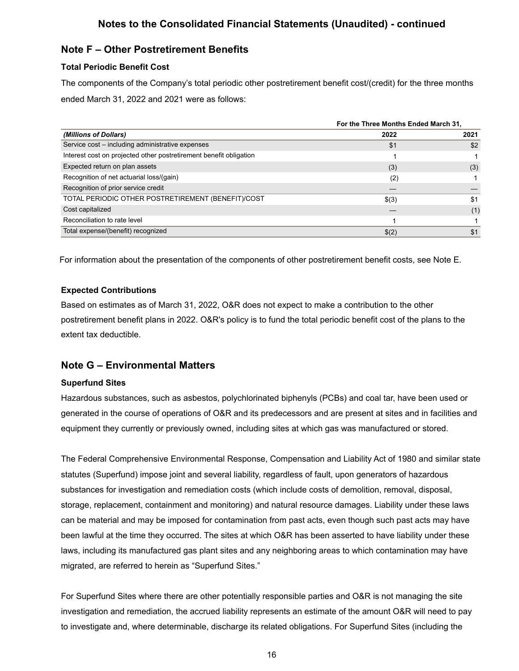## **Note F – Other Postretirement Benefits**

### **Total Periodic Benefit Cost**

The components of the Company's total periodic other postretirement benefit cost/(credit) for the three months ended March 31, 2022 and 2021 were as follows:

|                                                                    | For the Three Months Ended March 31, |      |
|--------------------------------------------------------------------|--------------------------------------|------|
| (Millions of Dollars)                                              | 2022                                 | 2021 |
| Service cost – including administrative expenses                   | \$1                                  | \$2  |
| Interest cost on projected other postretirement benefit obligation |                                      |      |
| Expected return on plan assets                                     | (3)                                  | (3)  |
| Recognition of net actuarial loss/(gain)                           | (2)                                  |      |
| Recognition of prior service credit                                |                                      |      |
| TOTAL PERIODIC OTHER POSTRETIREMENT (BENEFIT)/COST                 | \$(3)                                | \$1  |
| Cost capitalized                                                   |                                      | (1)  |
| Reconciliation to rate level                                       |                                      |      |
| Total expense/(benefit) recognized                                 | \$(2)                                | \$1  |

For information about the presentation of the components of other postretirement benefit costs, see Note E.

### **Expected Contributions**

Based on estimates as of March 31, 2022, O&R does not expect to make a contribution to the other postretirement benefit plans in 2022. O&R's policy is to fund the total periodic benefit cost of the plans to the extent tax deductible.

## **Note G – Environmental Matters**

#### **Superfund Sites**

Hazardous substances, such as asbestos, polychlorinated biphenyls (PCBs) and coal tar, have been used or generated in the course of operations of O&R and its predecessors and are present at sites and in facilities and equipment they currently or previously owned, including sites at which gas was manufactured or stored.

The Federal Comprehensive Environmental Response, Compensation and Liability Act of 1980 and similar state statutes (Superfund) impose joint and several liability, regardless of fault, upon generators of hazardous substances for investigation and remediation costs (which include costs of demolition, removal, disposal, storage, replacement, containment and monitoring) and natural resource damages. Liability under these laws can be material and may be imposed for contamination from past acts, even though such past acts may have been lawful at the time they occurred. The sites at which O&R has been asserted to have liability under these laws, including its manufactured gas plant sites and any neighboring areas to which contamination may have migrated, are referred to herein as "Superfund Sites."

For Superfund Sites where there are other potentially responsible parties and O&R is not managing the site investigation and remediation, the accrued liability represents an estimate of the amount O&R will need to pay to investigate and, where determinable, discharge its related obligations. For Superfund Sites (including the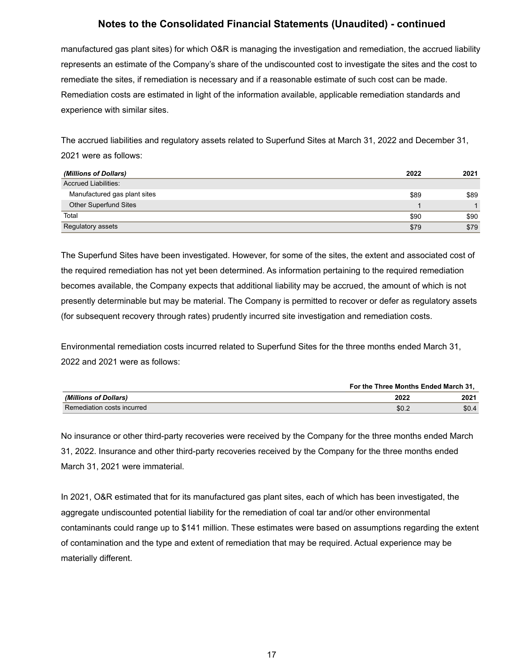manufactured gas plant sites) for which O&R is managing the investigation and remediation, the accrued liability represents an estimate of the Company's share of the undiscounted cost to investigate the sites and the cost to remediate the sites, if remediation is necessary and if a reasonable estimate of such cost can be made. Remediation costs are estimated in light of the information available, applicable remediation standards and experience with similar sites.

The accrued liabilities and regulatory assets related to Superfund Sites at March 31, 2022 and December 31, 2021 were as follows:

| (Millions of Dollars)        | 2022 | 2021 |
|------------------------------|------|------|
| <b>Accrued Liabilities:</b>  |      |      |
| Manufactured gas plant sites | \$89 | \$89 |
| <b>Other Superfund Sites</b> |      |      |
| Total                        | \$90 | \$90 |
| Regulatory assets            | \$79 | \$79 |

The Superfund Sites have been investigated. However, for some of the sites, the extent and associated cost of the required remediation has not yet been determined. As information pertaining to the required remediation becomes available, the Company expects that additional liability may be accrued, the amount of which is not presently determinable but may be material. The Company is permitted to recover or defer as regulatory assets (for subsequent recovery through rates) prudently incurred site investigation and remediation costs.

Environmental remediation costs incurred related to Superfund Sites for the three months ended March 31, 2022 and 2021 were as follows:

|                              | For the Three Months Ended March 31. |       |
|------------------------------|--------------------------------------|-------|
| <i>(Millions of Dollars)</i> | 2022                                 | 2021  |
| Remediation costs incurred   | \$0.2                                | \$0.4 |

No insurance or other third-party recoveries were received by the Company for the three months ended March 31, 2022. Insurance and other third-party recoveries received by the Company for the three months ended March 31, 2021 were immaterial.

In 2021, O&R estimated that for its manufactured gas plant sites, each of which has been investigated, the aggregate undiscounted potential liability for the remediation of coal tar and/or other environmental contaminants could range up to \$141 million. These estimates were based on assumptions regarding the extent of contamination and the type and extent of remediation that may be required. Actual experience may be materially different.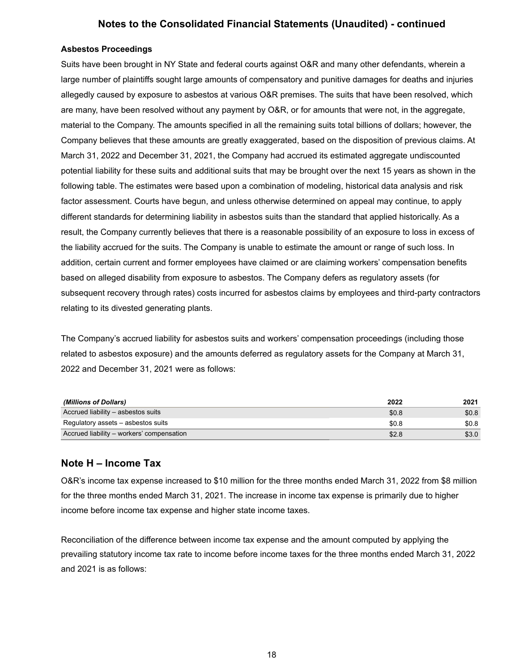#### **Asbestos Proceedings**

Suits have been brought in NY State and federal courts against O&R and many other defendants, wherein a large number of plaintiffs sought large amounts of compensatory and punitive damages for deaths and injuries allegedly caused by exposure to asbestos at various O&R premises. The suits that have been resolved, which are many, have been resolved without any payment by O&R, or for amounts that were not, in the aggregate, material to the Company. The amounts specified in all the remaining suits total billions of dollars; however, the Company believes that these amounts are greatly exaggerated, based on the disposition of previous claims. At March 31, 2022 and December 31, 2021, the Company had accrued its estimated aggregate undiscounted potential liability for these suits and additional suits that may be brought over the next 15 years as shown in the following table. The estimates were based upon a combination of modeling, historical data analysis and risk factor assessment. Courts have begun, and unless otherwise determined on appeal may continue, to apply different standards for determining liability in asbestos suits than the standard that applied historically. As a result, the Company currently believes that there is a reasonable possibility of an exposure to loss in excess of the liability accrued for the suits. The Company is unable to estimate the amount or range of such loss. In addition, certain current and former employees have claimed or are claiming workers' compensation benefits based on alleged disability from exposure to asbestos. The Company defers as regulatory assets (for subsequent recovery through rates) costs incurred for asbestos claims by employees and third-party contractors relating to its divested generating plants.

The Company's accrued liability for asbestos suits and workers' compensation proceedings (including those related to asbestos exposure) and the amounts deferred as regulatory assets for the Company at March 31, 2022 and December 31, 2021 were as follows:

| (Millions of Dollars)                     | 2022  | 2021  |
|-------------------------------------------|-------|-------|
| Accrued liability - asbestos suits        | \$0.8 | \$0.8 |
| Regulatory assets – asbestos suits        | \$0.8 | \$0.8 |
| Accrued liability – workers' compensation | \$2.8 | \$3.0 |

### **Note H – Income Tax**

O&R's income tax expense increased to \$10 million for the three months ended March 31, 2022 from \$8 million for the three months ended March 31, 2021. The increase in income tax expense is primarily due to higher income before income tax expense and higher state income taxes.

Reconciliation of the difference between income tax expense and the amount computed by applying the prevailing statutory income tax rate to income before income taxes for the three months ended March 31, 2022 and 2021 is as follows: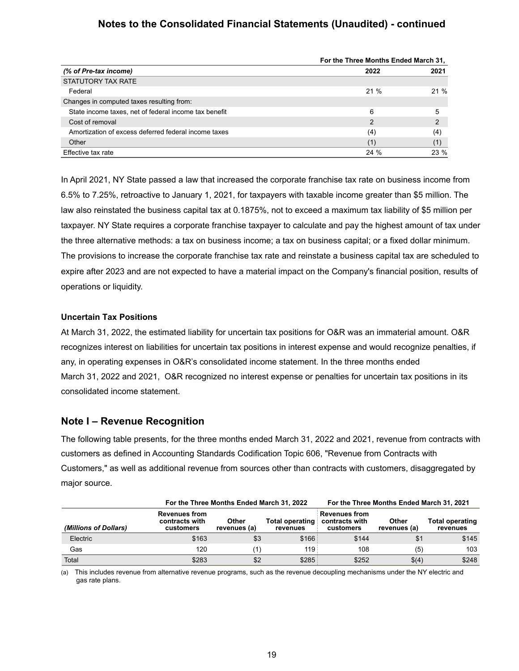|                                                       | For the Three Months Ended March 31, |                |  |
|-------------------------------------------------------|--------------------------------------|----------------|--|
| (% of Pre-tax income)                                 | 2022                                 | 2021           |  |
| STATUTORY TAX RATE                                    |                                      |                |  |
| Federal                                               | 21%                                  | 21%            |  |
| Changes in computed taxes resulting from:             |                                      |                |  |
| State income taxes, net of federal income tax benefit | 6                                    | 5              |  |
| Cost of removal                                       | $\mathcal{P}$                        | $\overline{2}$ |  |
| Amortization of excess deferred federal income taxes  | (4)                                  | (4)            |  |
| Other                                                 | (1)                                  | (1)            |  |
| Effective tax rate                                    | 24 %                                 | 23 %           |  |

In April 2021, NY State passed a law that increased the corporate franchise tax rate on business income from 6.5% to 7.25%, retroactive to January 1, 2021, for taxpayers with taxable income greater than \$5 million. The law also reinstated the business capital tax at 0.1875%, not to exceed a maximum tax liability of \$5 million per taxpayer. NY State requires a corporate franchise taxpayer to calculate and pay the highest amount of tax under the three alternative methods: a tax on business income; a tax on business capital; or a fixed dollar minimum. The provisions to increase the corporate franchise tax rate and reinstate a business capital tax are scheduled to expire after 2023 and are not expected to have a material impact on the Company's financial position, results of operations or liquidity.

#### **Uncertain Tax Positions**

At March 31, 2022, the estimated liability for uncertain tax positions for O&R was an immaterial amount. O&R recognizes interest on liabilities for uncertain tax positions in interest expense and would recognize penalties, if any, in operating expenses in O&R's consolidated income statement. In the three months ended March 31, 2022 and 2021, O&R recognized no interest expense or penalties for uncertain tax positions in its consolidated income statement.

### **Note I – Revenue Recognition**

The following table presents, for the three months ended March 31, 2022 and 2021, revenue from contracts with customers as defined in Accounting Standards Codification Topic 606, "Revenue from Contracts with Customers," as well as additional revenue from sources other than contracts with customers, disaggregated by major source.

|                       |                                                     | For the Three Months Ended March 31, 2022 |                                     |                                                     | For the Three Months Ended March 31, 2021 |                             |
|-----------------------|-----------------------------------------------------|-------------------------------------------|-------------------------------------|-----------------------------------------------------|-------------------------------------------|-----------------------------|
| (Millions of Dollars) | <b>Revenues from</b><br>contracts with<br>customers | <b>Other</b><br>revenues (a)              | <b>Total operating:</b><br>revenues | <b>Revenues from</b><br>contracts with<br>customers | Other<br>revenues (a)                     | Total operating<br>revenues |
| Electric              | \$163                                               | \$3                                       | \$166:                              | \$144                                               | \$1                                       | \$145                       |
| Gas                   | 120                                                 |                                           | 119:                                | 108                                                 | (5)                                       | 103                         |
| Total                 | \$283                                               | \$2                                       | \$285                               | \$252                                               | \$(4)                                     | \$248                       |

(a) This includes revenue from alternative revenue programs, such as the revenue decoupling mechanisms under the NY electric and gas rate plans.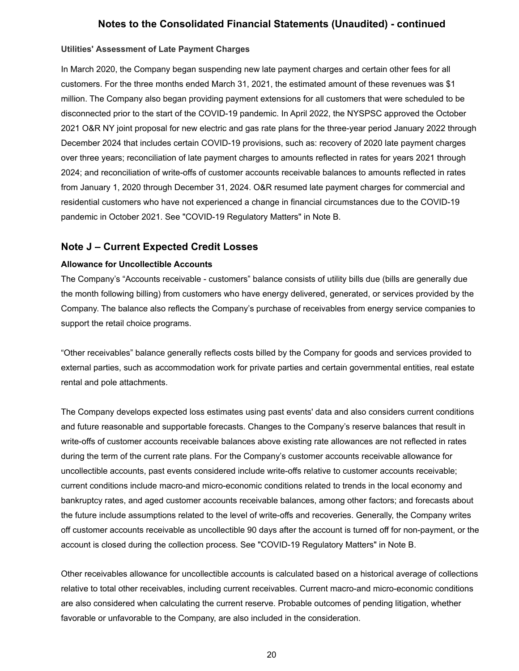#### **Utilities' Assessment of Late Payment Charges**

In March 2020, the Company began suspending new late payment charges and certain other fees for all customers. For the three months ended March 31, 2021, the estimated amount of these revenues was \$1 million. The Company also began providing payment extensions for all customers that were scheduled to be disconnected prior to the start of the COVID-19 pandemic. In April 2022, the NYSPSC approved the October 2021 O&R NY joint proposal for new electric and gas rate plans for the three-year period January 2022 through December 2024 that includes certain COVID-19 provisions, such as: recovery of 2020 late payment charges over three years; reconciliation of late payment charges to amounts reflected in rates for years 2021 through 2024; and reconciliation of write-offs of customer accounts receivable balances to amounts reflected in rates from January 1, 2020 through December 31, 2024. O&R resumed late payment charges for commercial and residential customers who have not experienced a change in financial circumstances due to the COVID-19 pandemic in October 2021. See "COVID-19 Regulatory Matters" in Note B.

### **Note J – Current Expected Credit Losses**

#### **Allowance for Uncollectible Accounts**

The Company's "Accounts receivable - customers" balance consists of utility bills due (bills are generally due the month following billing) from customers who have energy delivered, generated, or services provided by the Company. The balance also reflects the Company's purchase of receivables from energy service companies to support the retail choice programs.

"Other receivables" balance generally reflects costs billed by the Company for goods and services provided to external parties, such as accommodation work for private parties and certain governmental entities, real estate rental and pole attachments.

The Company develops expected loss estimates using past events' data and also considers current conditions and future reasonable and supportable forecasts. Changes to the Company's reserve balances that result in write-offs of customer accounts receivable balances above existing rate allowances are not reflected in rates during the term of the current rate plans. For the Company's customer accounts receivable allowance for uncollectible accounts, past events considered include write-offs relative to customer accounts receivable; current conditions include macro-and micro-economic conditions related to trends in the local economy and bankruptcy rates, and aged customer accounts receivable balances, among other factors; and forecasts about the future include assumptions related to the level of write-offs and recoveries. Generally, the Company writes off customer accounts receivable as uncollectible 90 days after the account is turned off for non-payment, or the account is closed during the collection process. See "COVID-19 Regulatory Matters" in Note B.

Other receivables allowance for uncollectible accounts is calculated based on a historical average of collections relative to total other receivables, including current receivables. Current macro-and micro-economic conditions are also considered when calculating the current reserve. Probable outcomes of pending litigation, whether favorable or unfavorable to the Company, are also included in the consideration.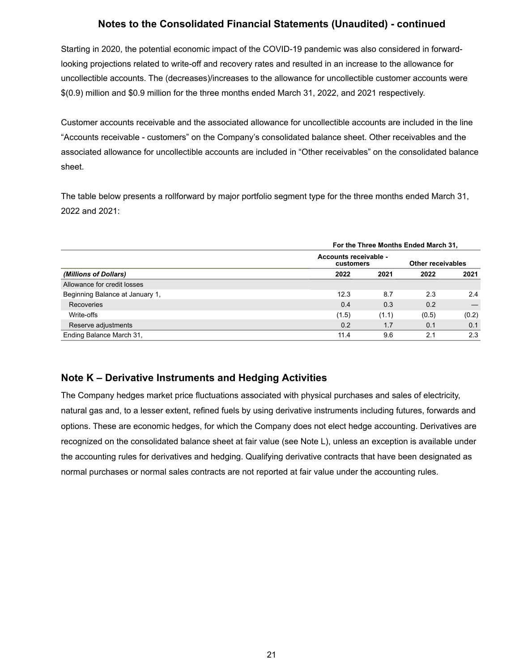Starting in 2020, the potential economic impact of the COVID-19 pandemic was also considered in forwardlooking projections related to write-off and recovery rates and resulted in an increase to the allowance for uncollectible accounts. The (decreases)/increases to the allowance for uncollectible customer accounts were \$(0.9) million and \$0.9 million for the three months ended March 31, 2022, and 2021 respectively.

Customer accounts receivable and the associated allowance for uncollectible accounts are included in the line "Accounts receivable - customers" on the Company's consolidated balance sheet. Other receivables and the associated allowance for uncollectible accounts are included in "Other receivables" on the consolidated balance sheet.

The table below presents a rollforward by major portfolio segment type for the three months ended March 31, 2022 and 2021:

|                                 | For the Three Months Ended March 31, |                                    |       |       |  |
|---------------------------------|--------------------------------------|------------------------------------|-------|-------|--|
|                                 |                                      | Accounts receivable -<br>customers |       |       |  |
| (Millions of Dollars)           | 2022                                 | 2021                               | 2022  | 2021  |  |
| Allowance for credit losses     |                                      |                                    |       |       |  |
| Beginning Balance at January 1, | 12.3                                 | 8.7                                | 2.3   | 2.4   |  |
| Recoveries                      | 0.4                                  | 0.3                                | 0.2   |       |  |
| Write-offs                      | (1.5)                                | (1.1)                              | (0.5) | (0.2) |  |
| Reserve adjustments             | 0.2                                  | 1.7                                | 0.1   | 0.1   |  |
| Ending Balance March 31,        | 11.4                                 | 9.6                                | 2.1   | 2.3   |  |

## **Note K – Derivative Instruments and Hedging Activities**

The Company hedges market price fluctuations associated with physical purchases and sales of electricity, natural gas and, to a lesser extent, refined fuels by using derivative instruments including futures, forwards and options. These are economic hedges, for which the Company does not elect hedge accounting. Derivatives are recognized on the consolidated balance sheet at fair value (see Note L), unless an exception is available under the accounting rules for derivatives and hedging. Qualifying derivative contracts that have been designated as normal purchases or normal sales contracts are not reported at fair value under the accounting rules.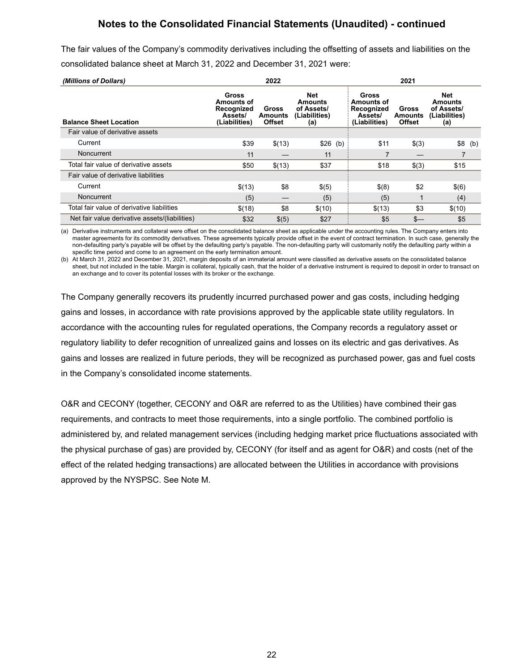The fair values of the Company's commodity derivatives including the offsetting of assets and liabilities on the consolidated balance sheet at March 31, 2022 and December 31, 2021 were:

| (Millions of Dollars)                          | 2022                                                                 |                                   |                                                      | 2021                                                                 |                                   |                                                      |          |
|------------------------------------------------|----------------------------------------------------------------------|-----------------------------------|------------------------------------------------------|----------------------------------------------------------------------|-----------------------------------|------------------------------------------------------|----------|
| <b>Balance Sheet Location</b>                  | <b>Gross</b><br>Amounts of<br>Recognized<br>Assets/<br>(Liabilities) | Gross<br>Amounts<br><b>Offset</b> | Net<br>Amounts<br>of Assets/<br>(Liabilities)<br>(a) | <b>Gross</b><br>Amounts of<br>Recognized<br>Assets/<br>(Liabilities) | Gross<br>Amounts<br><b>Offset</b> | Net<br>Amounts<br>of Assets/<br>(Liabilities)<br>(a) |          |
| Fair value of derivative assets                |                                                                      |                                   |                                                      |                                                                      |                                   |                                                      |          |
| Current                                        | \$39                                                                 | \$(13)                            | \$26 (b)                                             | \$11                                                                 | \$(3)                             |                                                      | $$8$ (b) |
| <b>Noncurrent</b>                              | 11                                                                   |                                   | 11                                                   | 7                                                                    |                                   |                                                      |          |
| Total fair value of derivative assets          | \$50                                                                 | \$(13)                            | \$37                                                 | \$18                                                                 | \$(3)                             | \$15                                                 |          |
| Fair value of derivative liabilities           |                                                                      |                                   |                                                      |                                                                      |                                   |                                                      |          |
| Current                                        | \$(13)                                                               | \$8                               | \$(5)                                                | \$(8)                                                                | \$2                               | \$(6)                                                |          |
| Noncurrent                                     | (5)                                                                  |                                   | (5)                                                  | (5)                                                                  |                                   | (4)                                                  |          |
| Total fair value of derivative liabilities     | \$(18)                                                               | \$8                               | \$(10)                                               | \$(13)                                                               | \$3                               | \$(10)                                               |          |
| Net fair value derivative assets/(liabilities) | \$32                                                                 | \$(5)                             | \$27                                                 | \$5                                                                  | $s-$                              | \$5                                                  |          |

(a) Derivative instruments and collateral were offset on the consolidated balance sheet as applicable under the accounting rules. The Company enters into master agreements for its commodity derivatives. These agreements typically provide offset in the event of contract termination. In such case, generally the non-defaulting party's payable will be offset by the defaulting party's payable. The non-defaulting party will customarily notify the defaulting party within a specific time period and come to an agreement on the early termination amount.

(b) At March 31, 2022 and December 31, 2021, margin deposits of an immaterial amount were classified as derivative assets on the consolidated balance sheet, but not included in the table. Margin is collateral, typically cash, that the holder of a derivative instrument is required to deposit in order to transact on an exchange and to cover its potential losses with its broker or the exchange.

The Company generally recovers its prudently incurred purchased power and gas costs, including hedging gains and losses, in accordance with rate provisions approved by the applicable state utility regulators. In accordance with the accounting rules for regulated operations, the Company records a regulatory asset or regulatory liability to defer recognition of unrealized gains and losses on its electric and gas derivatives. As gains and losses are realized in future periods, they will be recognized as purchased power, gas and fuel costs in the Company's consolidated income statements.

O&R and CECONY (together, CECONY and O&R are referred to as the Utilities) have combined their gas requirements, and contracts to meet those requirements, into a single portfolio. The combined portfolio is administered by, and related management services (including hedging market price fluctuations associated with the physical purchase of gas) are provided by, CECONY (for itself and as agent for O&R) and costs (net of the effect of the related hedging transactions) are allocated between the Utilities in accordance with provisions approved by the NYSPSC. See Note M.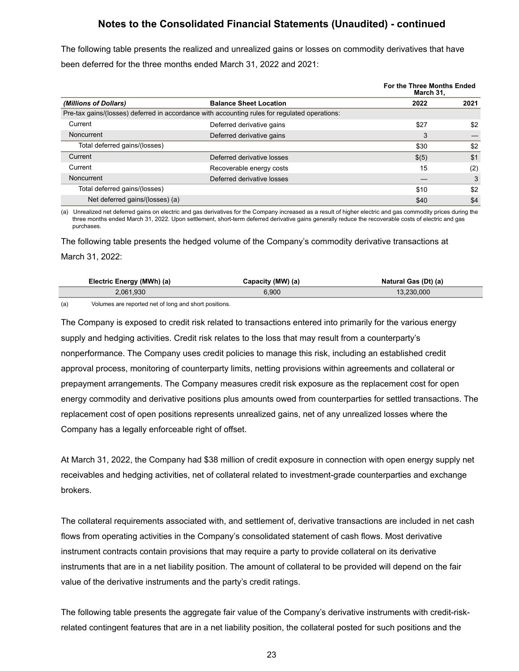The following table presents the realized and unrealized gains or losses on commodity derivatives that have been deferred for the three months ended March 31, 2022 and 2021:

|                                 |                                                                                               | For the Three Months Ended<br>March 31, |      |
|---------------------------------|-----------------------------------------------------------------------------------------------|-----------------------------------------|------|
| (Millions of Dollars)           | <b>Balance Sheet Location</b>                                                                 | 2022                                    | 2021 |
|                                 | Pre-tax gains/(losses) deferred in accordance with accounting rules for regulated operations: |                                         |      |
| Current                         | Deferred derivative gains                                                                     | \$27                                    | \$2  |
| Noncurrent                      | Deferred derivative gains                                                                     | 3                                       |      |
| Total deferred gains/(losses)   |                                                                                               | \$30                                    | \$2  |
| Current                         | Deferred derivative losses                                                                    | $\$(5)$                                 | \$1  |
| Current                         | Recoverable energy costs                                                                      | 15                                      | (2)  |
| Noncurrent                      | Deferred derivative losses                                                                    |                                         | 3    |
| Total deferred gains/(losses)   |                                                                                               | \$10                                    | \$2  |
| Net deferred gains/(losses) (a) |                                                                                               | \$40                                    | \$4  |

(a) Unrealized net deferred gains on electric and gas derivatives for the Company increased as a result of higher electric and gas commodity prices during the three months ended March 31, 2022. Upon settlement, short-term deferred derivative gains generally reduce the recoverable costs of electric and gas purchases.

The following table presents the hedged volume of the Company's commodity derivative transactions at March 31, 2022:

| Electric Energy (MWh) (a) | Capacity (MW) (a) | Natural Gas (Dt) (a) |
|---------------------------|-------------------|----------------------|
| 2.061.930                 | 6.900             | 13.230.000           |

(a) Volumes are reported net of long and short positions.

The Company is exposed to credit risk related to transactions entered into primarily for the various energy supply and hedging activities. Credit risk relates to the loss that may result from a counterparty's nonperformance. The Company uses credit policies to manage this risk, including an established credit approval process, monitoring of counterparty limits, netting provisions within agreements and collateral or prepayment arrangements. The Company measures credit risk exposure as the replacement cost for open energy commodity and derivative positions plus amounts owed from counterparties for settled transactions. The replacement cost of open positions represents unrealized gains, net of any unrealized losses where the Company has a legally enforceable right of offset.

At March 31, 2022, the Company had \$38 million of credit exposure in connection with open energy supply net receivables and hedging activities, net of collateral related to investment-grade counterparties and exchange brokers.

The collateral requirements associated with, and settlement of, derivative transactions are included in net cash flows from operating activities in the Company's consolidated statement of cash flows. Most derivative instrument contracts contain provisions that may require a party to provide collateral on its derivative instruments that are in a net liability position. The amount of collateral to be provided will depend on the fair value of the derivative instruments and the party's credit ratings.

The following table presents the aggregate fair value of the Company's derivative instruments with credit-riskrelated contingent features that are in a net liability position, the collateral posted for such positions and the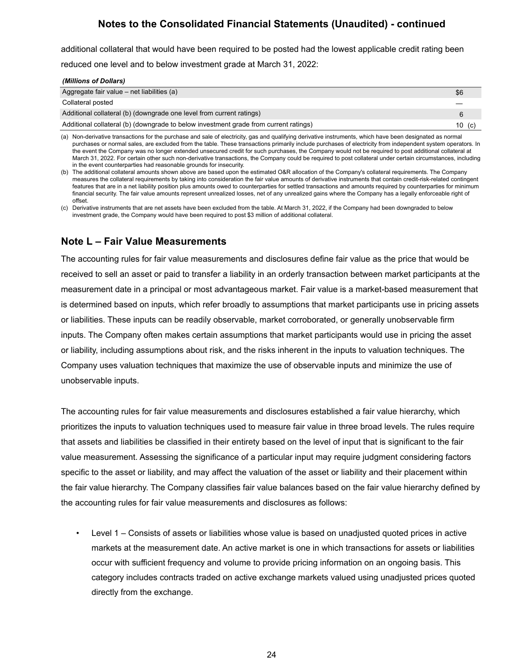additional collateral that would have been required to be posted had the lowest applicable credit rating been

reduced one level and to below investment grade at March 31, 2022:

| (Millions of Dollars) |  |
|-----------------------|--|

| Aggregate fair value $-$ net liabilities (a)                                         | \$6    |
|--------------------------------------------------------------------------------------|--------|
| Collateral posted                                                                    |        |
| Additional collateral (b) (downgrade one level from current ratings)                 |        |
| Additional collateral (b) (downgrade to below investment grade from current ratings) | 10 (c) |

(a) Non-derivative transactions for the purchase and sale of electricity, gas and qualifying derivative instruments, which have been designated as normal purchases or normal sales, are excluded from the table. These transactions primarily include purchases of electricity from independent system operators. In the event the Company was no longer extended unsecured credit for such purchases, the Company would not be required to post additional collateral at March 31, 2022. For certain other such non-derivative transactions, the Company could be required to post collateral under certain circumstances, including in the event counterparties had reasonable grounds for insecurity.

(b) The additional collateral amounts shown above are based upon the estimated O&R allocation of the Company's collateral requirements. The Company measures the collateral requirements by taking into consideration the fair value amounts of derivative instruments that contain credit-risk-related contingent features that are in a net liability position plus amounts owed to counterparties for settled transactions and amounts required by counterparties for minimum financial security. The fair value amounts represent unrealized losses, net of any unrealized gains where the Company has a legally enforceable right of offset.

(c) Derivative instruments that are net assets have been excluded from the table. At March 31, 2022, if the Company had been downgraded to below investment grade, the Company would have been required to post \$3 million of additional collateral.

### **Note L – Fair Value Measurements**

The accounting rules for fair value measurements and disclosures define fair value as the price that would be received to sell an asset or paid to transfer a liability in an orderly transaction between market participants at the measurement date in a principal or most advantageous market. Fair value is a market-based measurement that is determined based on inputs, which refer broadly to assumptions that market participants use in pricing assets or liabilities. These inputs can be readily observable, market corroborated, or generally unobservable firm inputs. The Company often makes certain assumptions that market participants would use in pricing the asset or liability, including assumptions about risk, and the risks inherent in the inputs to valuation techniques. The Company uses valuation techniques that maximize the use of observable inputs and minimize the use of unobservable inputs.

The accounting rules for fair value measurements and disclosures established a fair value hierarchy, which prioritizes the inputs to valuation techniques used to measure fair value in three broad levels. The rules require that assets and liabilities be classified in their entirety based on the level of input that is significant to the fair value measurement. Assessing the significance of a particular input may require judgment considering factors specific to the asset or liability, and may affect the valuation of the asset or liability and their placement within the fair value hierarchy. The Company classifies fair value balances based on the fair value hierarchy defined by the accounting rules for fair value measurements and disclosures as follows:

• Level 1 – Consists of assets or liabilities whose value is based on unadjusted quoted prices in active markets at the measurement date. An active market is one in which transactions for assets or liabilities occur with sufficient frequency and volume to provide pricing information on an ongoing basis. This category includes contracts traded on active exchange markets valued using unadjusted prices quoted directly from the exchange.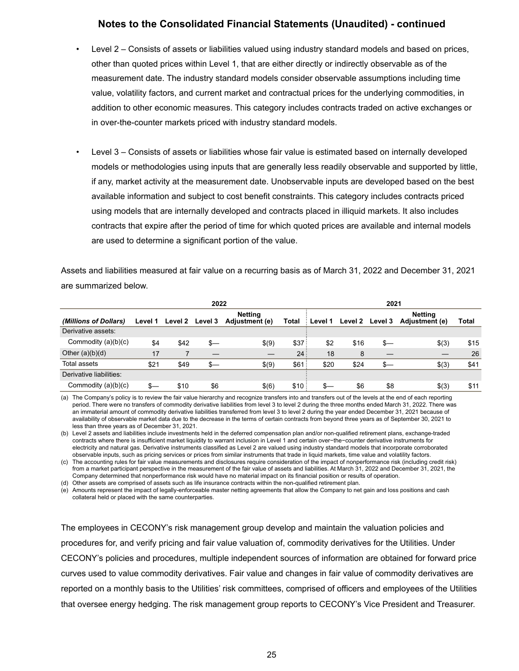- Level 2 Consists of assets or liabilities valued using industry standard models and based on prices, other than quoted prices within Level 1, that are either directly or indirectly observable as of the measurement date. The industry standard models consider observable assumptions including time value, volatility factors, and current market and contractual prices for the underlying commodities, in addition to other economic measures. This category includes contracts traded on active exchanges or in over-the-counter markets priced with industry standard models.
- Level 3 Consists of assets or liabilities whose fair value is estimated based on internally developed models or methodologies using inputs that are generally less readily observable and supported by little, if any, market activity at the measurement date. Unobservable inputs are developed based on the best available information and subject to cost benefit constraints. This category includes contracts priced using models that are internally developed and contracts placed in illiquid markets. It also includes contracts that expire after the period of time for which quoted prices are available and internal models are used to determine a significant portion of the value.

Assets and liabilities measured at fair value on a recurring basis as of March 31, 2022 and December 31, 2021 are summarized below.

|                         | 2022    |         |                |                                  | 2021  |         |         |         |                                  |       |
|-------------------------|---------|---------|----------------|----------------------------------|-------|---------|---------|---------|----------------------------------|-------|
| (Millions of Dollars)   | Level 1 | Level 2 | <b>Level 3</b> | <b>Netting</b><br>Adjustment (e) | Total | Level 1 | Level 2 | Level 3 | <b>Netting</b><br>Adjustment (e) | Total |
| Derivative assets:      |         |         |                |                                  |       |         |         |         |                                  |       |
| Commodity $(a)(b)(c)$   | \$4     | \$42    | $s-$           | \$(9)                            | \$37: | \$2     | \$16    | \$—     | \$(3)                            | \$15  |
| Other $(a)(b)(d)$       | 17      |         |                |                                  | 24:   | 18      | 8       |         |                                  | 26    |
| Total assets            | \$21    | \$49    | \$—            | \$(9)                            | \$61  | \$20    | \$24    | \$—     | \$(3)                            | \$41  |
| Derivative liabilities: |         |         |                |                                  |       |         |         |         |                                  |       |
| Commodity $(a)(b)(c)$   | \$—     | \$10    | \$6            | \$(6)                            | \$10: | \$—     | \$6     | \$8     | \$(3)                            | \$11  |

(a) The Company's policy is to review the fair value hierarchy and recognize transfers into and transfers out of the levels at the end of each reporting period. There were no transfers of commodity derivative liabilities from level 3 to level 2 during the three months ended March 31, 2022. There was an immaterial amount of commodity derivative liabilities transferred from level 3 to level 2 during the year ended December 31, 2021 because of availability of observable market data due to the decrease in the terms of certain contracts from beyond three years as of September 30, 2021 to less than three years as of December 31, 2021.

(b) Level 2 assets and liabilities include investments held in the deferred compensation plan and/or non-qualified retirement plans, exchange-traded contracts where there is insufficient market liquidity to warrant inclusion in Level 1 and certain over−the−counter derivative instruments for electricity and natural gas. Derivative instruments classified as Level 2 are valued using industry standard models that incorporate corroborated observable inputs, such as pricing services or prices from similar instruments that trade in liquid markets, time value and volatility factors.

(c) The accounting rules for fair value measurements and disclosures require consideration of the impact of nonperformance risk (including credit risk) from a market participant perspective in the measurement of the fair value of assets and liabilities. At March 31, 2022 and December 31, 2021, the Company determined that nonperformance risk would have no material impact on its financial position or results of operation.

(d) Other assets are comprised of assets such as life insurance contracts within the non-qualified retirement plan.

(e) Amounts represent the impact of legally-enforceable master netting agreements that allow the Company to net gain and loss positions and cash collateral held or placed with the same counterparties.

The employees in CECONY's risk management group develop and maintain the valuation policies and procedures for, and verify pricing and fair value valuation of, commodity derivatives for the Utilities. Under CECONY's policies and procedures, multiple independent sources of information are obtained for forward price curves used to value commodity derivatives. Fair value and changes in fair value of commodity derivatives are reported on a monthly basis to the Utilities' risk committees, comprised of officers and employees of the Utilities that oversee energy hedging. The risk management group reports to CECONY's Vice President and Treasurer.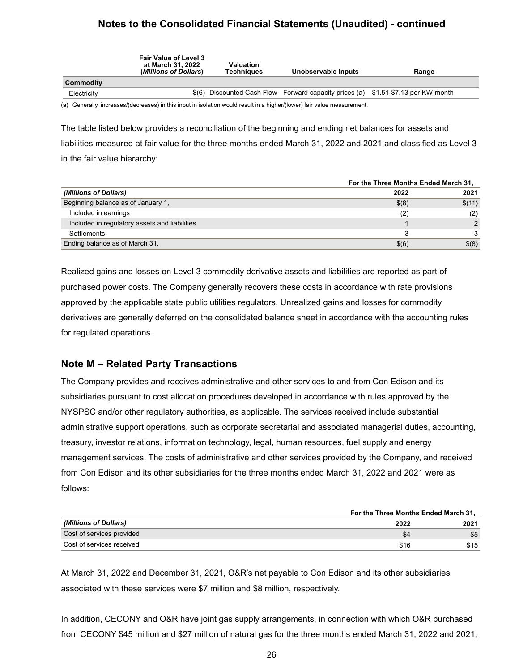|             | <b>Fair Value of Level 3</b><br>at March 31. 2022<br>(Millions of Dollars) | Valuation<br>Techniaues | Unobservable Inputs                                                         | Range |
|-------------|----------------------------------------------------------------------------|-------------------------|-----------------------------------------------------------------------------|-------|
| Commodity   |                                                                            |                         |                                                                             |       |
| Electricity | \$(6)                                                                      |                         | Discounted Cash Flow Forward capacity prices (a) \$1.51-\$7.13 per KW-month |       |
|             |                                                                            |                         |                                                                             |       |

(a) Generally, increases/(decreases) in this input in isolation would result in a higher/(lower) fair value measurement.

The table listed below provides a reconciliation of the beginning and ending net balances for assets and liabilities measured at fair value for the three months ended March 31, 2022 and 2021 and classified as Level 3 in the fair value hierarchy:

|                                               | For the Three Months Ended March 31, |        |  |
|-----------------------------------------------|--------------------------------------|--------|--|
| (Millions of Dollars)                         | 2022                                 | 2021   |  |
| Beginning balance as of January 1,            | \$(8)                                | \$(11) |  |
| Included in earnings                          | (2)                                  | (2)    |  |
| Included in regulatory assets and liabilities |                                      |        |  |
| Settlements                                   |                                      |        |  |
| Ending balance as of March 31,                | \$(6)                                | \$(8)  |  |

Realized gains and losses on Level 3 commodity derivative assets and liabilities are reported as part of purchased power costs. The Company generally recovers these costs in accordance with rate provisions approved by the applicable state public utilities regulators. Unrealized gains and losses for commodity derivatives are generally deferred on the consolidated balance sheet in accordance with the accounting rules for regulated operations.

### **Note M – Related Party Transactions**

The Company provides and receives administrative and other services to and from Con Edison and its subsidiaries pursuant to cost allocation procedures developed in accordance with rules approved by the NYSPSC and/or other regulatory authorities, as applicable. The services received include substantial administrative support operations, such as corporate secretarial and associated managerial duties, accounting, treasury, investor relations, information technology, legal, human resources, fuel supply and energy management services. The costs of administrative and other services provided by the Company, and received from Con Edison and its other subsidiaries for the three months ended March 31, 2022 and 2021 were as follows:

|                           | For the Three Months Ended March 31, |      |  |
|---------------------------|--------------------------------------|------|--|
| (Millions of Dollars)     | 2022                                 | 2021 |  |
| Cost of services provided | 54                                   | \$5  |  |
| Cost of services received | \$16                                 | \$15 |  |

At March 31, 2022 and December 31, 2021, O&R's net payable to Con Edison and its other subsidiaries associated with these services were \$7 million and \$8 million, respectively.

In addition, CECONY and O&R have joint gas supply arrangements, in connection with which O&R purchased from CECONY \$45 million and \$27 million of natural gas for the three months ended March 31, 2022 and 2021,